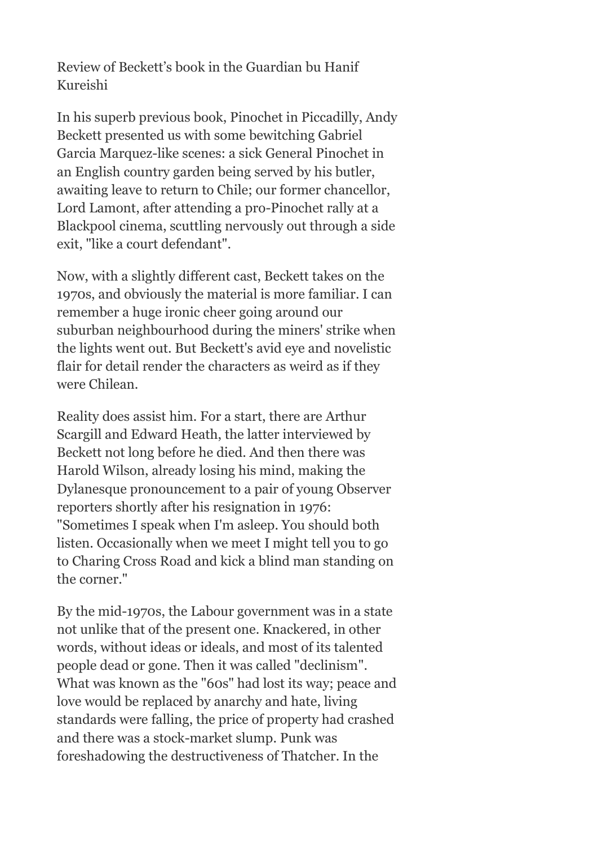Review of Beckett's book in the Guardian bu Hanif Kureishi

In his superb previous book, Pinochet in Piccadilly, Andy Beckett presented us with some bewitching Gabriel Garcia Marquez-like scenes: a sick General Pinochet in an English country garden being served by his butler, awaiting leave to return to Chile; our former chancellor, Lord Lamont, after attending a pro-Pinochet rally at a Blackpool cinema, scuttling nervously out through a side exit, "like a court defendant".

Now, with a slightly different cast, Beckett takes on the 1970s, and obviously the material is more familiar. I can remember a huge ironic cheer going around our suburban neighbourhood during the miners' strike when the lights went out. But Beckett's avid eye and novelistic flair for detail render the characters as weird as if they were Chilean.

Reality does assist him. For a start, there are Arthur Scargill and Edward Heath, the latter interviewed by Beckett not long before he died. And then there was Harold Wilson, already losing his mind, making the Dylanesque pronouncement to a pair of young Observer reporters shortly after his resignation in 1976: "Sometimes I speak when I'm asleep. You should both listen. Occasionally when we meet I might tell you to go to Charing Cross Road and kick a blind man standing on the corner."

By the mid-1970s, the Labour government was in a state not unlike that of the present one. Knackered, in other words, without ideas or ideals, and most of its talented people dead or gone. Then it was called "declinism". What was known as the "60s" had lost its way; peace and love would be replaced by anarchy and hate, living standards were falling, the price of property had crashed and there was a stock-market slump. Punk was foreshadowing the destructiveness of Thatcher. In the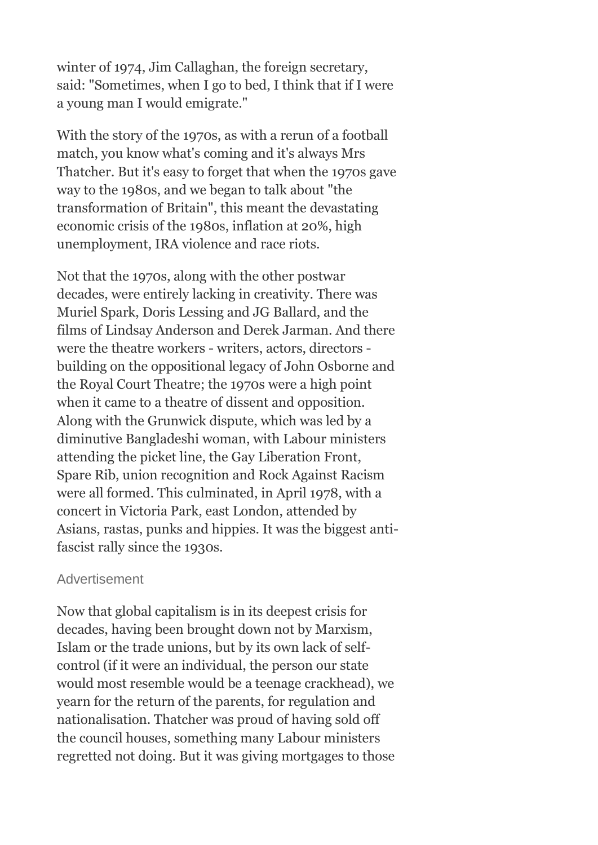winter of 1974, Jim Callaghan, the foreign secretary, said: "Sometimes, when I go to bed, I think that if I were a young man I would emigrate."

With the story of the 1970s, as with a rerun of a football match, you know what's coming and it's always Mrs Thatcher. But it's easy to forget that when the 1970s gave way to the 1980s, and we began to talk about "the transformation of Britain", this meant the devastating economic crisis of the 1980s, inflation at 20%, high unemployment, IRA violence and race riots.

Not that the 1970s, along with the other postwar decades, were entirely lacking in creativity. There was Muriel Spark, Doris Lessing and JG Ballard, and the films of Lindsay Anderson and Derek Jarman. And there were the theatre workers - writers, actors, directors building on the oppositional legacy of John Osborne and the Royal Court Theatre; the 1970s were a high point when it came to a theatre of dissent and opposition. Along with the Grunwick dispute, which was led by a diminutive Bangladeshi woman, with Labour ministers attending the picket line, the Gay Liberation Front, Spare Rib, union recognition and Rock Against Racism were all formed. This culminated, in April 1978, with a concert in Victoria Park, east London, attended by Asians, rastas, punks and hippies. It was the biggest antifascist rally since the 1930s.

## Advertisement

Now that global capitalism is in its deepest crisis for decades, having been brought down not by Marxism, Islam or the trade unions, but by its own lack of selfcontrol (if it were an individual, the person our state would most resemble would be a teenage crackhead), we yearn for the return of the parents, for regulation and nationalisation. Thatcher was proud of having sold off the council houses, something many Labour ministers regretted not doing. But it was giving mortgages to those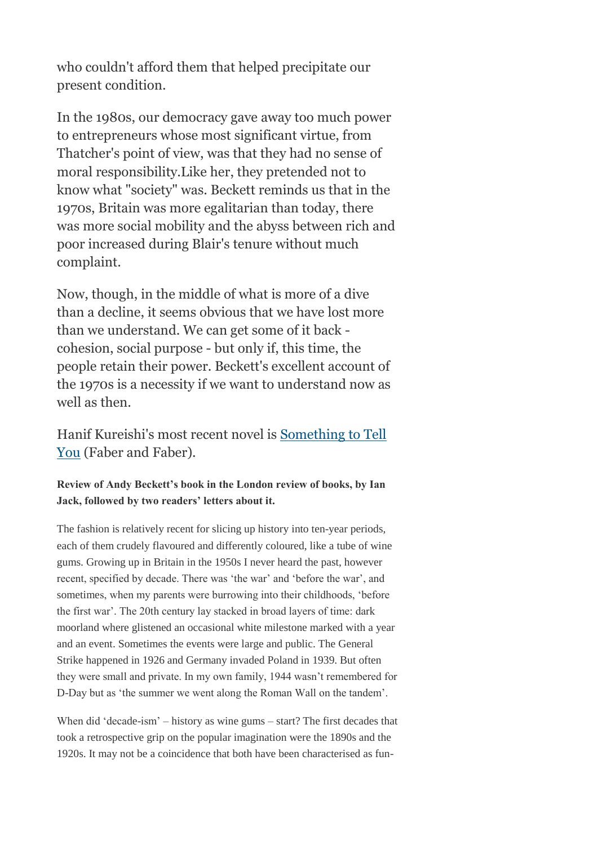who couldn't afford them that helped precipitate our present condition.

In the 1980s, our democracy gave away too much power to entrepreneurs whose most significant virtue, from Thatcher's point of view, was that they had no sense of moral responsibility.Like her, they pretended not to know what "society" was. Beckett reminds us that in the 1970s, Britain was more egalitarian than today, there was more social mobility and the abyss between rich and poor increased during Blair's tenure without much complaint.

Now, though, in the middle of what is more of a dive than a decline, it seems obvious that we have lost more than we understand. We can get some of it back cohesion, social purpose - but only if, this time, the people retain their power. Beckett's excellent account of the 1970s is a necessity if we want to understand now as well as then.

Hanif Kureishi's most recent novel is [Something to Tell](http://www.guardianbookshop.co.uk/BerteShopWeb/viewProduct.do?ISBN=9780571238767)  [You](http://www.guardianbookshop.co.uk/BerteShopWeb/viewProduct.do?ISBN=9780571238767) (Faber and Faber).

## **Review of Andy Beckett's book in the London review of books, by Ian Jack, followed by two readers' letters about it.**

The fashion is relatively recent for slicing up history into ten-year periods, each of them crudely flavoured and differently coloured, like a tube of wine gums. Growing up in Britain in the 1950s I never heard the past, however recent, specified by decade. There was 'the war' and 'before the war', and sometimes, when my parents were burrowing into their childhoods, 'before the first war'. The 20th century lay stacked in broad layers of time: dark moorland where glistened an occasional white milestone marked with a year and an event. Sometimes the events were large and public. The General Strike happened in 1926 and Germany invaded Poland in 1939. But often they were small and private. In my own family, 1944 wasn't remembered for D-Day but as 'the summer we went along the Roman Wall on the tandem'.

When did 'decade-ism' – history as wine gums – start? The first decades that took a retrospective grip on the popular imagination were the 1890s and the 1920s. It may not be a coincidence that both have been characterised as fun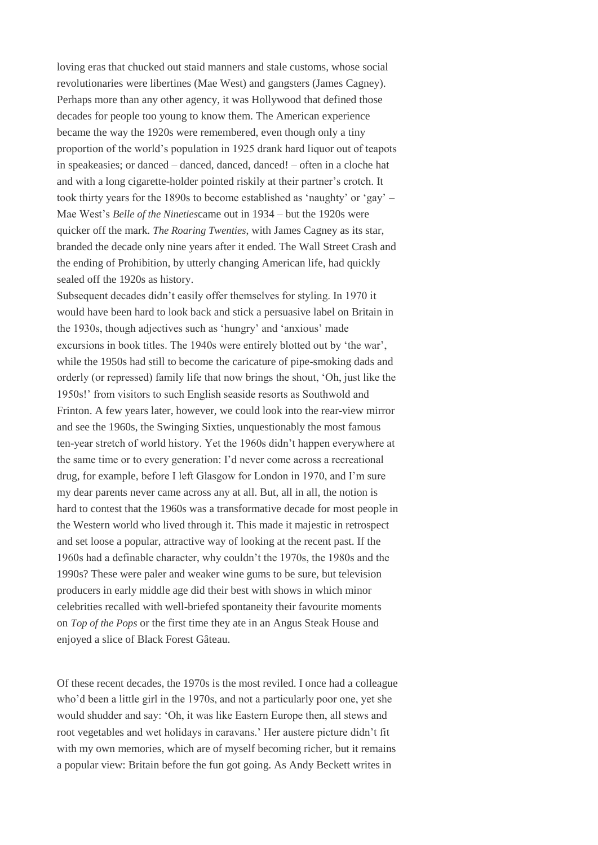loving eras that chucked out staid manners and stale customs, whose social revolutionaries were libertines (Mae West) and gangsters (James Cagney). Perhaps more than any other agency, it was Hollywood that defined those decades for people too young to know them. The American experience became the way the 1920s were remembered, even though only a tiny proportion of the world's population in 1925 drank hard liquor out of teapots in speakeasies; or danced – danced, danced, danced! – often in a cloche hat and with a long cigarette-holder pointed riskily at their partner's crotch. It took thirty years for the 1890s to become established as 'naughty' or 'gay' – Mae West's *Belle of the Nineties*came out in 1934 – but the 1920s were quicker off the mark. *The Roaring Twenties*, with James Cagney as its star, branded the decade only nine years after it ended. The Wall Street Crash and the ending of Prohibition, by utterly changing American life, had quickly sealed off the 1920s as history.

Subsequent decades didn't easily offer themselves for styling. In 1970 it would have been hard to look back and stick a persuasive label on Britain in the 1930s, though adjectives such as 'hungry' and 'anxious' made excursions in book titles. The 1940s were entirely blotted out by 'the war', while the 1950s had still to become the caricature of pipe-smoking dads and orderly (or repressed) family life that now brings the shout, 'Oh, just like the 1950s!' from visitors to such English seaside resorts as Southwold and Frinton. A few years later, however, we could look into the rear-view mirror and see the 1960s, the Swinging Sixties, unquestionably the most famous ten-year stretch of world history. Yet the 1960s didn't happen everywhere at the same time or to every generation: I'd never come across a recreational drug, for example, before I left Glasgow for London in 1970, and I'm sure my dear parents never came across any at all. But, all in all, the notion is hard to contest that the 1960s was a transformative decade for most people in the Western world who lived through it. This made it majestic in retrospect and set loose a popular, attractive way of looking at the recent past. If the 1960s had a definable character, why couldn't the 1970s, the 1980s and the 1990s? These were paler and weaker wine gums to be sure, but television producers in early middle age did their best with shows in which minor celebrities recalled with well-briefed spontaneity their favourite moments on *Top of the Pops* or the first time they ate in an Angus Steak House and enjoyed a slice of Black Forest Gâteau.

Of these recent decades, the 1970s is the most reviled. I once had a colleague who'd been a little girl in the 1970s, and not a particularly poor one, yet she would shudder and say: 'Oh, it was like Eastern Europe then, all stews and root vegetables and wet holidays in caravans.' Her austere picture didn't fit with my own memories, which are of myself becoming richer, but it remains a popular view: Britain before the fun got going. As Andy Beckett writes in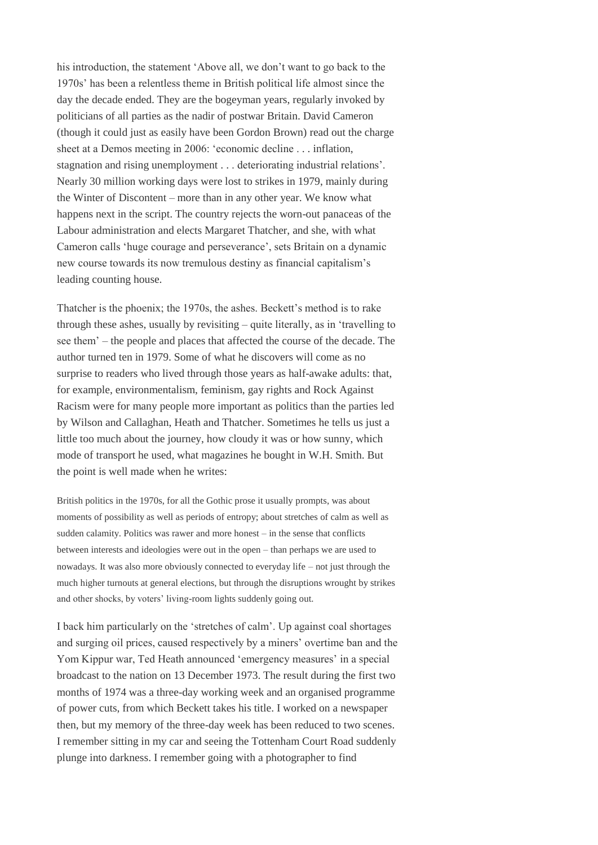his introduction, the statement 'Above all, we don't want to go back to the 1970s' has been a relentless theme in British political life almost since the day the decade ended. They are the bogeyman years, regularly invoked by politicians of all parties as the nadir of postwar Britain. David Cameron (though it could just as easily have been Gordon Brown) read out the charge sheet at a Demos meeting in 2006: 'economic decline . . . inflation, stagnation and rising unemployment . . . deteriorating industrial relations'. Nearly 30 million working days were lost to strikes in 1979, mainly during the Winter of Discontent – more than in any other year. We know what happens next in the script. The country rejects the worn-out panaceas of the Labour administration and elects Margaret Thatcher, and she, with what Cameron calls 'huge courage and perseverance', sets Britain on a dynamic new course towards its now tremulous destiny as financial capitalism's leading counting house.

Thatcher is the phoenix; the 1970s, the ashes. Beckett's method is to rake through these ashes, usually by revisiting – quite literally, as in 'travelling to see them' – the people and places that affected the course of the decade. The author turned ten in 1979. Some of what he discovers will come as no surprise to readers who lived through those years as half-awake adults: that, for example, environmentalism, feminism, gay rights and Rock Against Racism were for many people more important as politics than the parties led by Wilson and Callaghan, Heath and Thatcher. Sometimes he tells us just a little too much about the journey, how cloudy it was or how sunny, which mode of transport he used, what magazines he bought in W.H. Smith. But the point is well made when he writes:

British politics in the 1970s, for all the Gothic prose it usually prompts, was about moments of possibility as well as periods of entropy; about stretches of calm as well as sudden calamity. Politics was rawer and more honest – in the sense that conflicts between interests and ideologies were out in the open – than perhaps we are used to nowadays. It was also more obviously connected to everyday life – not just through the much higher turnouts at general elections, but through the disruptions wrought by strikes and other shocks, by voters' living-room lights suddenly going out.

I back him particularly on the 'stretches of calm'. Up against coal shortages and surging oil prices, caused respectively by a miners' overtime ban and the Yom Kippur war, Ted Heath announced 'emergency measures' in a special broadcast to the nation on 13 December 1973. The result during the first two months of 1974 was a three-day working week and an organised programme of power cuts, from which Beckett takes his title. I worked on a newspaper then, but my memory of the three-day week has been reduced to two scenes. I remember sitting in my car and seeing the Tottenham Court Road suddenly plunge into darkness. I remember going with a photographer to find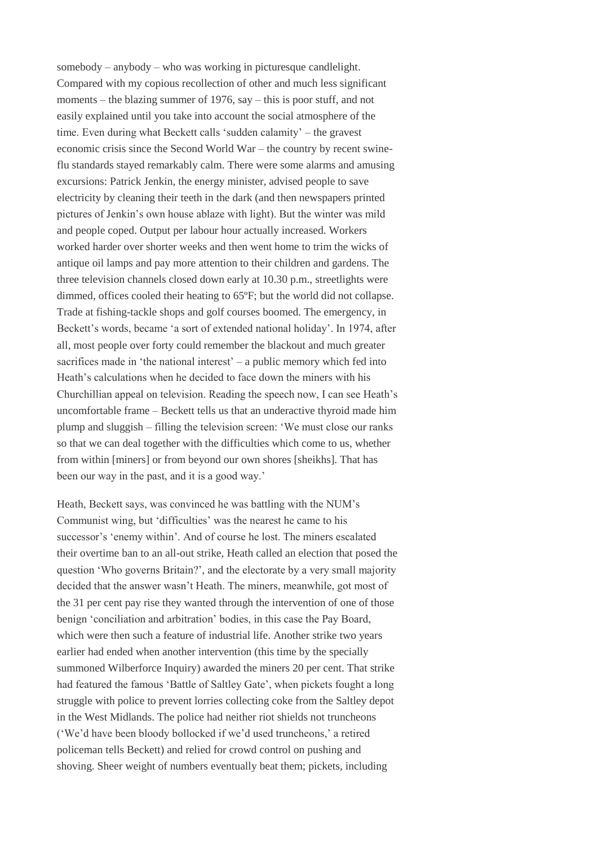somebody – anybody – who was working in picturesque candlelight. Compared with my copious recollection of other and much less significant moments – the blazing summer of 1976, say – this is poor stuff, and not easily explained until you take into account the social atmosphere of the time. Even during what Beckett calls 'sudden calamity' – the gravest economic crisis since the Second World War – the country by recent swineflu standards stayed remarkably calm. There were some alarms and amusing excursions: Patrick Jenkin, the energy minister, advised people to save electricity by cleaning their teeth in the dark (and then newspapers printed pictures of Jenkin's own house ablaze with light). But the winter was mild and people coped. Output per labour hour actually increased. Workers worked harder over shorter weeks and then went home to trim the wicks of antique oil lamps and pay more attention to their children and gardens. The three television channels closed down early at 10.30 p.m., streetlights were dimmed, offices cooled their heating to 65ºF; but the world did not collapse. Trade at fishing-tackle shops and golf courses boomed. The emergency, in Beckett's words, became 'a sort of extended national holiday'. In 1974, after all, most people over forty could remember the blackout and much greater sacrifices made in 'the national interest' – a public memory which fed into Heath's calculations when he decided to face down the miners with his Churchillian appeal on television. Reading the speech now, I can see Heath's uncomfortable frame – Beckett tells us that an underactive thyroid made him plump and sluggish – filling the television screen: 'We must close our ranks so that we can deal together with the difficulties which come to us, whether from within [miners] or from beyond our own shores [sheikhs]. That has been our way in the past, and it is a good way.'

Heath, Beckett says, was convinced he was battling with the NUM's Communist wing, but 'difficulties' was the nearest he came to his successor's 'enemy within'. And of course he lost. The miners escalated their overtime ban to an all-out strike, Heath called an election that posed the question 'Who governs Britain?', and the electorate by a very small majority decided that the answer wasn't Heath. The miners, meanwhile, got most of the 31 per cent pay rise they wanted through the intervention of one of those benign 'conciliation and arbitration' bodies, in this case the Pay Board, which were then such a feature of industrial life. Another strike two years earlier had ended when another intervention (this time by the specially summoned Wilberforce Inquiry) awarded the miners 20 per cent. That strike had featured the famous 'Battle of Saltley Gate', when pickets fought a long struggle with police to prevent lorries collecting coke from the Saltley depot in the West Midlands. The police had neither riot shields not truncheons ('We'd have been bloody bollocked if we'd used truncheons,' a retired policeman tells Beckett) and relied for crowd control on pushing and shoving. Sheer weight of numbers eventually beat them; pickets, including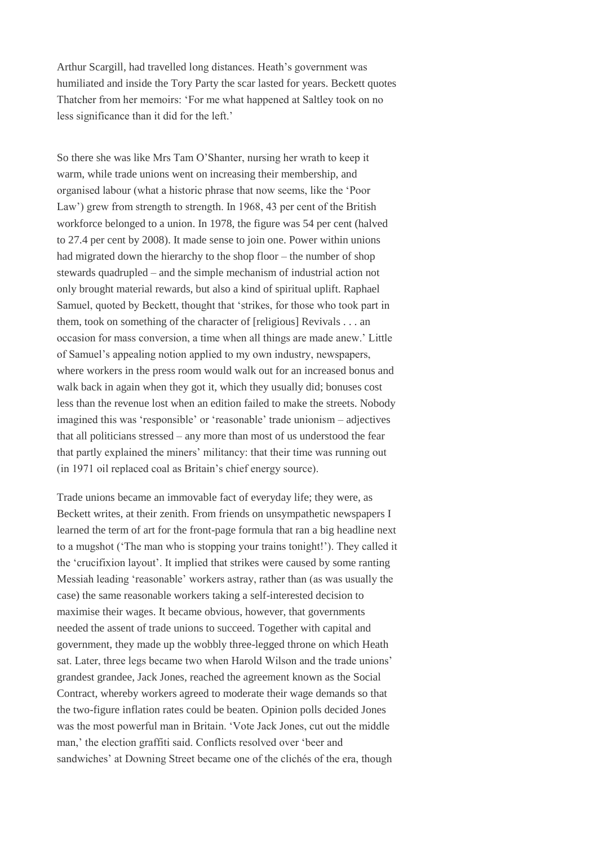Arthur Scargill, had travelled long distances. Heath's government was humiliated and inside the Tory Party the scar lasted for years. Beckett quotes Thatcher from her memoirs: 'For me what happened at Saltley took on no less significance than it did for the left.'

So there she was like Mrs Tam O'Shanter, nursing her wrath to keep it warm, while trade unions went on increasing their membership, and organised labour (what a historic phrase that now seems, like the 'Poor Law') grew from strength to strength. In 1968, 43 per cent of the British workforce belonged to a union. In 1978, the figure was 54 per cent (halved to 27.4 per cent by 2008). It made sense to join one. Power within unions had migrated down the hierarchy to the shop floor – the number of shop stewards quadrupled – and the simple mechanism of industrial action not only brought material rewards, but also a kind of spiritual uplift. Raphael Samuel, quoted by Beckett, thought that 'strikes, for those who took part in them, took on something of the character of [religious] Revivals . . . an occasion for mass conversion, a time when all things are made anew.' Little of Samuel's appealing notion applied to my own industry, newspapers, where workers in the press room would walk out for an increased bonus and walk back in again when they got it, which they usually did; bonuses cost less than the revenue lost when an edition failed to make the streets. Nobody imagined this was 'responsible' or 'reasonable' trade unionism – adjectives that all politicians stressed – any more than most of us understood the fear that partly explained the miners' militancy: that their time was running out (in 1971 oil replaced coal as Britain's chief energy source).

Trade unions became an immovable fact of everyday life; they were, as Beckett writes, at their zenith. From friends on unsympathetic newspapers I learned the term of art for the front-page formula that ran a big headline next to a mugshot ('The man who is stopping your trains tonight!'). They called it the 'crucifixion layout'. It implied that strikes were caused by some ranting Messiah leading 'reasonable' workers astray, rather than (as was usually the case) the same reasonable workers taking a self-interested decision to maximise their wages. It became obvious, however, that governments needed the assent of trade unions to succeed. Together with capital and government, they made up the wobbly three-legged throne on which Heath sat. Later, three legs became two when Harold Wilson and the trade unions' grandest grandee, Jack Jones, reached the agreement known as the Social Contract, whereby workers agreed to moderate their wage demands so that the two-figure inflation rates could be beaten. Opinion polls decided Jones was the most powerful man in Britain. 'Vote Jack Jones, cut out the middle man,' the election graffiti said. Conflicts resolved over 'beer and sandwiches' at Downing Street became one of the clichés of the era, though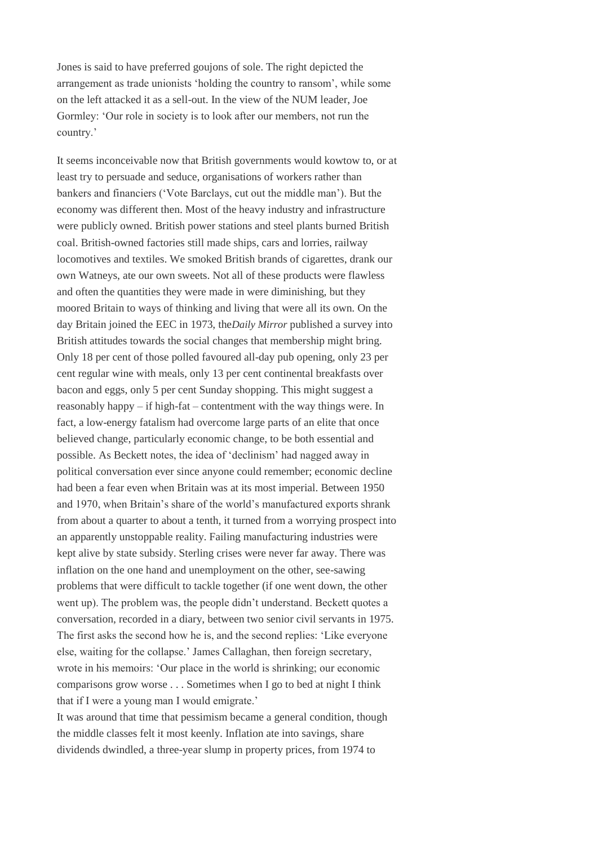Jones is said to have preferred goujons of sole. The right depicted the arrangement as trade unionists 'holding the country to ransom', while some on the left attacked it as a sell-out. In the view of the NUM leader, Joe Gormley: 'Our role in society is to look after our members, not run the country.'

It seems inconceivable now that British governments would kowtow to, or at least try to persuade and seduce, organisations of workers rather than bankers and financiers ('Vote Barclays, cut out the middle man'). But the economy was different then. Most of the heavy industry and infrastructure were publicly owned. British power stations and steel plants burned British coal. British-owned factories still made ships, cars and lorries, railway locomotives and textiles. We smoked British brands of cigarettes, drank our own Watneys, ate our own sweets. Not all of these products were flawless and often the quantities they were made in were diminishing, but they moored Britain to ways of thinking and living that were all its own. On the day Britain joined the EEC in 1973, the*Daily Mirror* published a survey into British attitudes towards the social changes that membership might bring. Only 18 per cent of those polled favoured all-day pub opening, only 23 per cent regular wine with meals, only 13 per cent continental breakfasts over bacon and eggs, only 5 per cent Sunday shopping. This might suggest a reasonably happy – if high-fat – contentment with the way things were. In fact, a low-energy fatalism had overcome large parts of an elite that once believed change, particularly economic change, to be both essential and possible. As Beckett notes, the idea of 'declinism' had nagged away in political conversation ever since anyone could remember; economic decline had been a fear even when Britain was at its most imperial. Between 1950 and 1970, when Britain's share of the world's manufactured exports shrank from about a quarter to about a tenth, it turned from a worrying prospect into an apparently unstoppable reality. Failing manufacturing industries were kept alive by state subsidy. Sterling crises were never far away. There was inflation on the one hand and unemployment on the other, see-sawing problems that were difficult to tackle together (if one went down, the other went up). The problem was, the people didn't understand. Beckett quotes a conversation, recorded in a diary, between two senior civil servants in 1975. The first asks the second how he is, and the second replies: 'Like everyone else, waiting for the collapse.' James Callaghan, then foreign secretary, wrote in his memoirs: 'Our place in the world is shrinking; our economic comparisons grow worse . . . Sometimes when I go to bed at night I think that if I were a young man I would emigrate.'

It was around that time that pessimism became a general condition, though the middle classes felt it most keenly. Inflation ate into savings, share dividends dwindled, a three-year slump in property prices, from 1974 to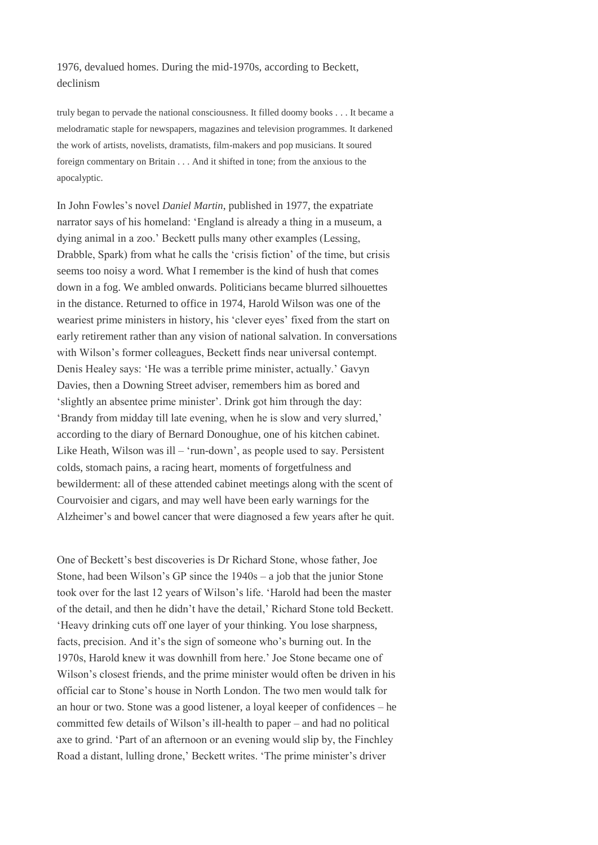1976, devalued homes. During the mid-1970s, according to Beckett, declinism

truly began to pervade the national consciousness. It filled doomy books . . . It became a melodramatic staple for newspapers, magazines and television programmes. It darkened the work of artists, novelists, dramatists, film-makers and pop musicians. It soured foreign commentary on Britain . . . And it shifted in tone; from the anxious to the apocalyptic.

In John Fowles's novel *Daniel Martin*, published in 1977, the expatriate narrator says of his homeland: 'England is already a thing in a museum, a dying animal in a zoo.' Beckett pulls many other examples (Lessing, Drabble, Spark) from what he calls the 'crisis fiction' of the time, but crisis seems too noisy a word. What I remember is the kind of hush that comes down in a fog. We ambled onwards. Politicians became blurred silhouettes in the distance. Returned to office in 1974, Harold Wilson was one of the weariest prime ministers in history, his 'clever eyes' fixed from the start on early retirement rather than any vision of national salvation. In conversations with Wilson's former colleagues, Beckett finds near universal contempt. Denis Healey says: 'He was a terrible prime minister, actually.' Gavyn Davies, then a Downing Street adviser, remembers him as bored and 'slightly an absentee prime minister'. Drink got him through the day: 'Brandy from midday till late evening, when he is slow and very slurred,' according to the diary of Bernard Donoughue, one of his kitchen cabinet. Like Heath, Wilson was ill – 'run-down', as people used to say. Persistent colds, stomach pains, a racing heart, moments of forgetfulness and bewilderment: all of these attended cabinet meetings along with the scent of Courvoisier and cigars, and may well have been early warnings for the Alzheimer's and bowel cancer that were diagnosed a few years after he quit.

One of Beckett's best discoveries is Dr Richard Stone, whose father, Joe Stone, had been Wilson's GP since the 1940s – a job that the junior Stone took over for the last 12 years of Wilson's life. 'Harold had been the master of the detail, and then he didn't have the detail,' Richard Stone told Beckett. 'Heavy drinking cuts off one layer of your thinking. You lose sharpness, facts, precision. And it's the sign of someone who's burning out. In the 1970s, Harold knew it was downhill from here.' Joe Stone became one of Wilson's closest friends, and the prime minister would often be driven in his official car to Stone's house in North London. The two men would talk for an hour or two. Stone was a good listener, a loyal keeper of confidences – he committed few details of Wilson's ill-health to paper – and had no political axe to grind. 'Part of an afternoon or an evening would slip by, the Finchley Road a distant, lulling drone,' Beckett writes. 'The prime minister's driver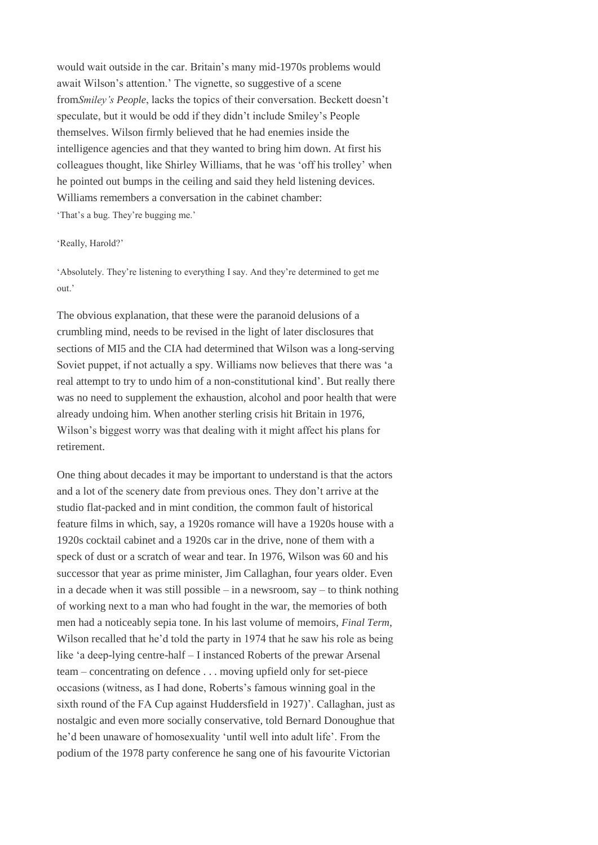would wait outside in the car. Britain's many mid-1970s problems would await Wilson's attention.' The vignette, so suggestive of a scene from*Smiley's People*, lacks the topics of their conversation. Beckett doesn't speculate, but it would be odd if they didn't include Smiley's People themselves. Wilson firmly believed that he had enemies inside the intelligence agencies and that they wanted to bring him down. At first his colleagues thought, like Shirley Williams, that he was 'off his trolley' when he pointed out bumps in the ceiling and said they held listening devices. Williams remembers a conversation in the cabinet chamber: 'That's a bug. They're bugging me.'

#### 'Really, Harold?'

'Absolutely. They're listening to everything I say. And they're determined to get me out.'

The obvious explanation, that these were the paranoid delusions of a crumbling mind, needs to be revised in the light of later disclosures that sections of MI5 and the CIA had determined that Wilson was a long-serving Soviet puppet, if not actually a spy. Williams now believes that there was 'a real attempt to try to undo him of a non-constitutional kind'. But really there was no need to supplement the exhaustion, alcohol and poor health that were already undoing him. When another sterling crisis hit Britain in 1976, Wilson's biggest worry was that dealing with it might affect his plans for retirement.

One thing about decades it may be important to understand is that the actors and a lot of the scenery date from previous ones. They don't arrive at the studio flat-packed and in mint condition, the common fault of historical feature films in which, say, a 1920s romance will have a 1920s house with a 1920s cocktail cabinet and a 1920s car in the drive, none of them with a speck of dust or a scratch of wear and tear. In 1976, Wilson was 60 and his successor that year as prime minister, Jim Callaghan, four years older. Even in a decade when it was still possible – in a newsroom, say – to think nothing of working next to a man who had fought in the war, the memories of both men had a noticeably sepia tone. In his last volume of memoirs, *Final Term*, Wilson recalled that he'd told the party in 1974 that he saw his role as being like 'a deep-lying centre-half – I instanced Roberts of the prewar Arsenal team – concentrating on defence . . . moving upfield only for set-piece occasions (witness, as I had done, Roberts's famous winning goal in the sixth round of the FA Cup against Huddersfield in 1927)'. Callaghan, just as nostalgic and even more socially conservative, told Bernard Donoughue that he'd been unaware of homosexuality 'until well into adult life'. From the podium of the 1978 party conference he sang one of his favourite Victorian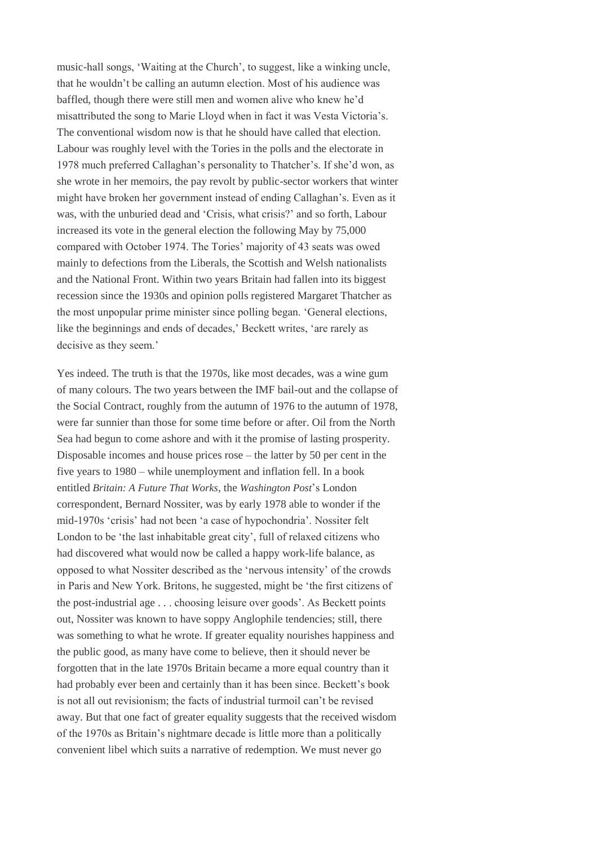music-hall songs, 'Waiting at the Church', to suggest, like a winking uncle, that he wouldn't be calling an autumn election. Most of his audience was baffled, though there were still men and women alive who knew he'd misattributed the song to Marie Lloyd when in fact it was Vesta Victoria's. The conventional wisdom now is that he should have called that election. Labour was roughly level with the Tories in the polls and the electorate in 1978 much preferred Callaghan's personality to Thatcher's. If she'd won, as she wrote in her memoirs, the pay revolt by public-sector workers that winter might have broken her government instead of ending Callaghan's. Even as it was, with the unburied dead and 'Crisis, what crisis?' and so forth, Labour increased its vote in the general election the following May by 75,000 compared with October 1974. The Tories' majority of 43 seats was owed mainly to defections from the Liberals, the Scottish and Welsh nationalists and the National Front. Within two years Britain had fallen into its biggest recession since the 1930s and opinion polls registered Margaret Thatcher as the most unpopular prime minister since polling began. 'General elections, like the beginnings and ends of decades,' Beckett writes, 'are rarely as decisive as they seem.'

Yes indeed. The truth is that the 1970s, like most decades, was a wine gum of many colours. The two years between the IMF bail-out and the collapse of the Social Contract, roughly from the autumn of 1976 to the autumn of 1978, were far sunnier than those for some time before or after. Oil from the North Sea had begun to come ashore and with it the promise of lasting prosperity. Disposable incomes and house prices rose – the latter by 50 per cent in the five years to 1980 – while unemployment and inflation fell. In a book entitled *Britain: A Future That Works*, the *Washington Post*'s London correspondent, Bernard Nossiter, was by early 1978 able to wonder if the mid-1970s 'crisis' had not been 'a case of hypochondria'. Nossiter felt London to be 'the last inhabitable great city', full of relaxed citizens who had discovered what would now be called a happy work-life balance, as opposed to what Nossiter described as the 'nervous intensity' of the crowds in Paris and New York. Britons, he suggested, might be 'the first citizens of the post-industrial age . . . choosing leisure over goods'. As Beckett points out, Nossiter was known to have soppy Anglophile tendencies; still, there was something to what he wrote. If greater equality nourishes happiness and the public good, as many have come to believe, then it should never be forgotten that in the late 1970s Britain became a more equal country than it had probably ever been and certainly than it has been since. Beckett's book is not all out revisionism; the facts of industrial turmoil can't be revised away. But that one fact of greater equality suggests that the received wisdom of the 1970s as Britain's nightmare decade is little more than a politically convenient libel which suits a narrative of redemption. We must never go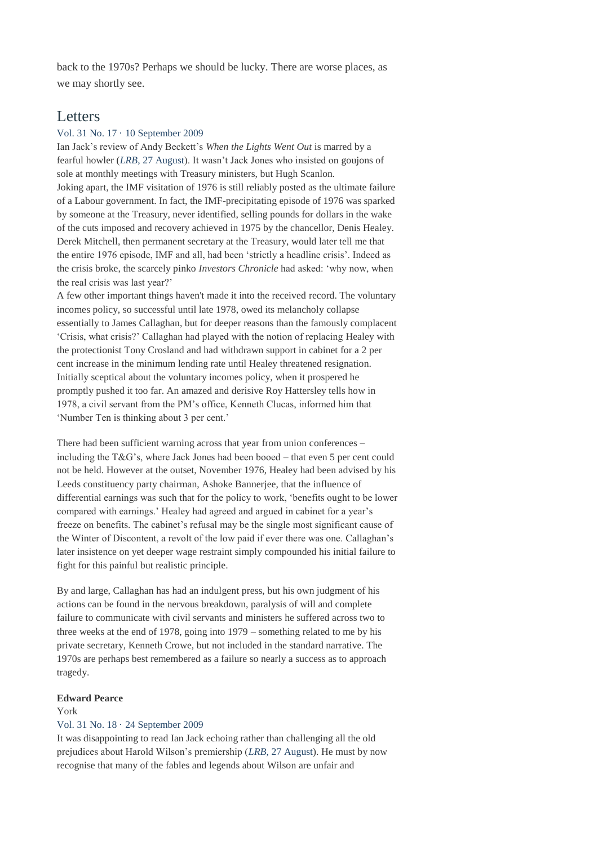back to the 1970s? Perhaps we should be lucky. There are worse places, as we may shortly see.

## **Letters**

#### Vol. 31 No. 17 · 10 [September](http://www.lrb.co.uk/v31/n17/letters#letter2) 2009

Ian Jack's review of Andy Beckett's *When the Lights Went Out* is marred by a fearful howler (*LRB*, 27 [August\)](http://www.lrb.co.uk/v31/n16/ian-jack/downhill-from-here). It wasn't Jack Jones who insisted on goujons of sole at monthly meetings with Treasury ministers, but Hugh Scanlon. Joking apart, the IMF visitation of 1976 is still reliably posted as the ultimate failure of a Labour government. In fact, the IMF-precipitating episode of 1976 was sparked by someone at the Treasury, never identified, selling pounds for dollars in the wake of the cuts imposed and recovery achieved in 1975 by the chancellor, Denis Healey. Derek Mitchell, then permanent secretary at the Treasury, would later tell me that the entire 1976 episode, IMF and all, had been 'strictly a headline crisis'. Indeed as the crisis broke, the scarcely pinko *Investors Chronicle* had asked: 'why now, when the real crisis was last year?'

A few other important things haven't made it into the received record. The voluntary incomes policy, so successful until late 1978, owed its melancholy collapse essentially to James Callaghan, but for deeper reasons than the famously complacent 'Crisis, what crisis?' Callaghan had played with the notion of replacing Healey with the protectionist Tony Crosland and had withdrawn support in cabinet for a 2 per cent increase in the minimum lending rate until Healey threatened resignation. Initially sceptical about the voluntary incomes policy, when it prospered he promptly pushed it too far. An amazed and derisive Roy Hattersley tells how in 1978, a civil servant from the PM's office, Kenneth Clucas, informed him that 'Number Ten is thinking about 3 per cent.'

There had been sufficient warning across that year from union conferences – including the T&G's, where Jack Jones had been booed – that even 5 per cent could not be held. However at the outset, November 1976, Healey had been advised by his Leeds constituency party chairman, Ashoke Bannerjee, that the influence of differential earnings was such that for the policy to work, 'benefits ought to be lower compared with earnings.' Healey had agreed and argued in cabinet for a year's freeze on benefits. The cabinet's refusal may be the single most significant cause of the Winter of Discontent, a revolt of the low paid if ever there was one. Callaghan's later insistence on yet deeper wage restraint simply compounded his initial failure to fight for this painful but realistic principle.

By and large, Callaghan has had an indulgent press, but his own judgment of his actions can be found in the nervous breakdown, paralysis of will and complete failure to communicate with civil servants and ministers he suffered across two to three weeks at the end of 1978, going into 1979 – something related to me by his private secretary, Kenneth Crowe, but not included in the standard narrative. The 1970s are perhaps best remembered as a failure so nearly a success as to approach tragedy.

#### **Edward Pearce**

#### York

#### Vol. 31 No. 18 · 24 [September](http://www.lrb.co.uk/v31/n18/letters#letter7) 2009

It was disappointing to read Ian Jack echoing rather than challenging all the old prejudices about Harold Wilson's premiership (*LRB*, 27 [August\)](http://www.lrb.co.uk/v31/n16/ian-jack/downhill-from-here). He must by now recognise that many of the fables and legends about Wilson are unfair and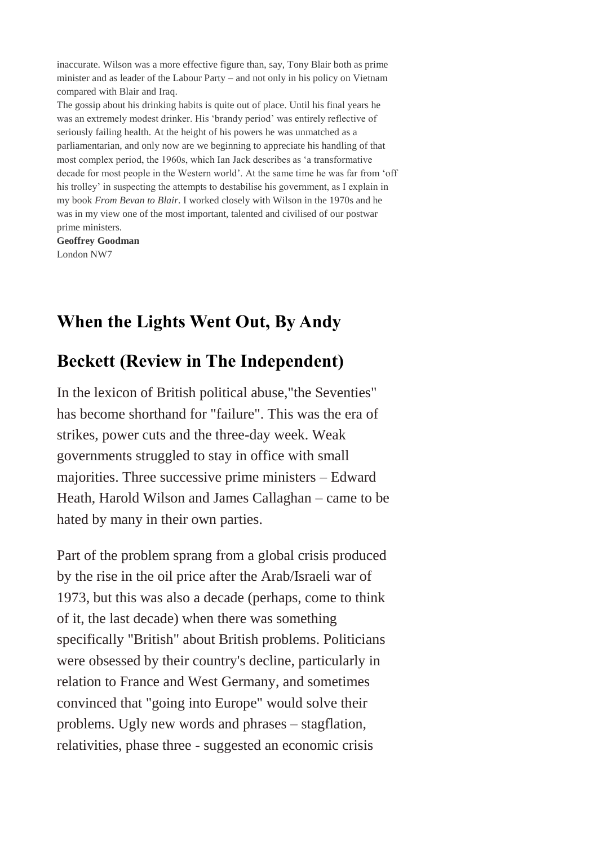inaccurate. Wilson was a more effective figure than, say, Tony Blair both as prime minister and as leader of the Labour Party – and not only in his policy on Vietnam compared with Blair and Iraq.

The gossip about his drinking habits is quite out of place. Until his final years he was an extremely modest drinker. His 'brandy period' was entirely reflective of seriously failing health. At the height of his powers he was unmatched as a parliamentarian, and only now are we beginning to appreciate his handling of that most complex period, the 1960s, which Ian Jack describes as 'a transformative decade for most people in the Western world'. At the same time he was far from 'off his trolley' in suspecting the attempts to destabilise his government, as I explain in my book *From Bevan to Blair*. I worked closely with Wilson in the 1970s and he was in my view one of the most important, talented and civilised of our postwar prime ministers.

**Geoffrey Goodman** London NW7

# **When the Lights Went Out, By Andy**

# **Beckett (Review in The Independent)**

In the lexicon of British political abuse,"the Seventies" has become shorthand for "failure". This was the era of strikes, power cuts and the three-day week. Weak governments struggled to stay in office with small majorities. Three successive prime ministers – Edward Heath, Harold Wilson and James Callaghan – came to be hated by many in their own parties.

Part of the problem sprang from a global crisis produced by the rise in the oil price after the Arab/Israeli war of 1973, but this was also a decade (perhaps, come to think of it, the last decade) when there was something specifically "British" about British problems. Politicians were obsessed by their country's decline, particularly in relation to France and West Germany, and sometimes convinced that "going into Europe" would solve their problems. Ugly new words and phrases – stagflation, relativities, phase three - suggested an economic crisis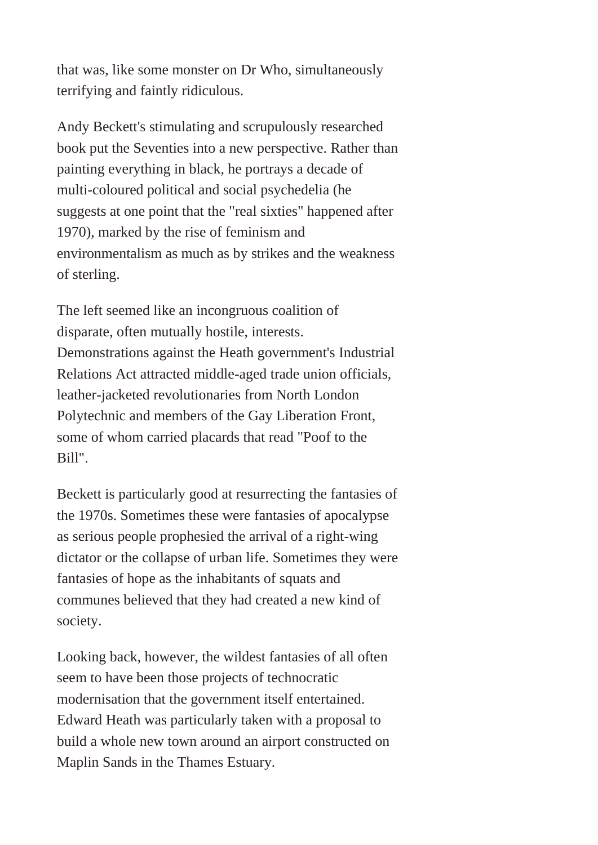that was, like some monster on Dr Who, simultaneously terrifying and faintly ridiculous.

Andy Beckett's stimulating and scrupulously researched book put the Seventies into a new perspective. Rather than painting everything in black, he portrays a decade of multi-coloured political and social psychedelia (he suggests at one point that the "real sixties" happened after 1970), marked by the rise of feminism and environmentalism as much as by strikes and the weakness of sterling.

The left seemed like an incongruous coalition of disparate, often mutually hostile, interests. Demonstrations against the Heath government's Industrial Relations Act attracted middle-aged trade union officials, leather-jacketed revolutionaries from North London Polytechnic and members of the Gay Liberation Front, some of whom carried placards that read "Poof to the Bill".

Beckett is particularly good at resurrecting the fantasies of the 1970s. Sometimes these were fantasies of apocalypse as serious people prophesied the arrival of a right-wing dictator or the collapse of urban life. Sometimes they were fantasies of hope as the inhabitants of squats and communes believed that they had created a new kind of society.

Looking back, however, the wildest fantasies of all often seem to have been those projects of technocratic modernisation that the government itself entertained. Edward Heath was particularly taken with a proposal to build a whole new town around an airport constructed on Maplin Sands in the Thames Estuary.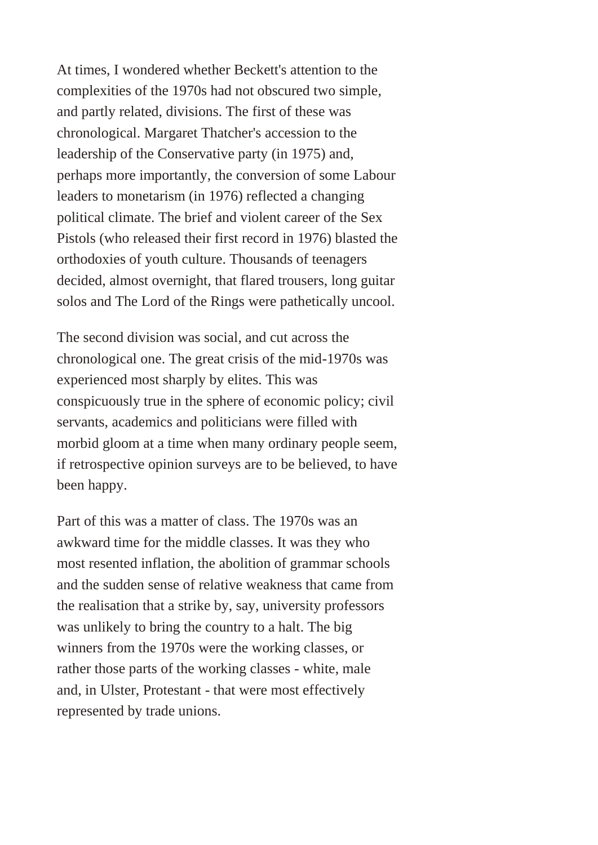At times, I wondered whether Beckett's attention to the complexities of the 1970s had not obscured two simple, and partly related, divisions. The first of these was chronological. Margaret Thatcher's accession to the leadership of the Conservative party (in 1975) and, perhaps more importantly, the conversion of some Labour leaders to monetarism (in 1976) reflected a changing political climate. The brief and violent career of the Sex Pistols (who released their first record in 1976) blasted the orthodoxies of youth culture. Thousands of teenagers decided, almost overnight, that flared trousers, long guitar solos and The Lord of the Rings were pathetically uncool.

The second division was social, and cut across the chronological one. The great crisis of the mid-1970s was experienced most sharply by elites. This was conspicuously true in the sphere of economic policy; civil servants, academics and politicians were filled with morbid gloom at a time when many ordinary people seem, if retrospective opinion surveys are to be believed, to have been happy.

Part of this was a matter of class. The 1970s was an awkward time for the middle classes. It was they who most resented inflation, the abolition of grammar schools and the sudden sense of relative weakness that came from the realisation that a strike by, say, university professors was unlikely to bring the country to a halt. The big winners from the 1970s were the working classes, or rather those parts of the working classes - white, male and, in Ulster, Protestant - that were most effectively represented by trade unions.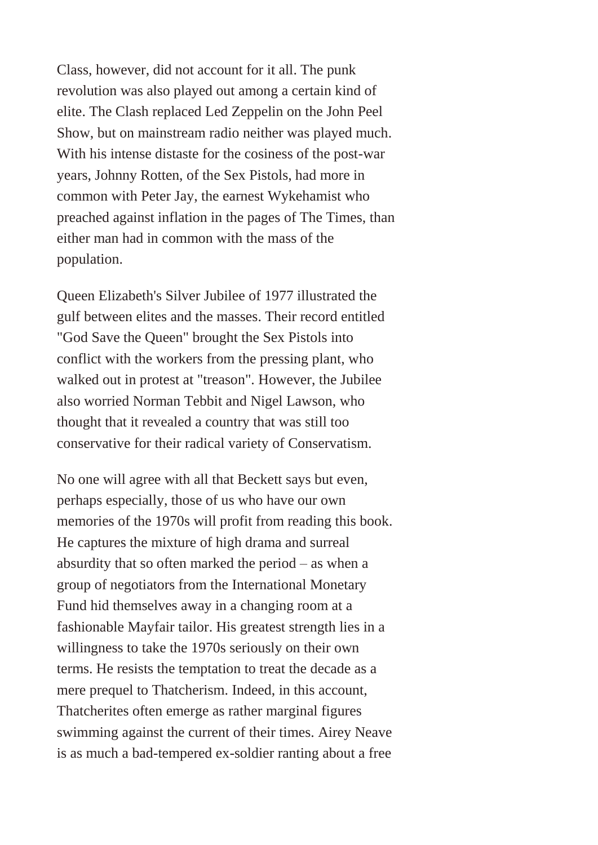Class, however, did not account for it all. The punk revolution was also played out among a certain kind of elite. The Clash replaced Led Zeppelin on the John Peel Show, but on mainstream radio neither was played much. With his intense distaste for the cosiness of the post-war years, Johnny Rotten, of the Sex Pistols, had more in common with Peter Jay, the earnest Wykehamist who preached against inflation in the pages of The Times, than either man had in common with the mass of the population.

Queen Elizabeth's Silver Jubilee of 1977 illustrated the gulf between elites and the masses. Their record entitled "God Save the Queen" brought the Sex Pistols into conflict with the workers from the pressing plant, who walked out in protest at "treason". However, the Jubilee also worried Norman Tebbit and Nigel Lawson, who thought that it revealed a country that was still too conservative for their radical variety of Conservatism.

No one will agree with all that Beckett says but even, perhaps especially, those of us who have our own memories of the 1970s will profit from reading this book. He captures the mixture of high drama and surreal absurdity that so often marked the period – as when a group of negotiators from the International Monetary Fund hid themselves away in a changing room at a fashionable Mayfair tailor. His greatest strength lies in a willingness to take the 1970s seriously on their own terms. He resists the temptation to treat the decade as a mere prequel to Thatcherism. Indeed, in this account, Thatcherites often emerge as rather marginal figures swimming against the current of their times. Airey Neave is as much a bad-tempered ex-soldier ranting about a free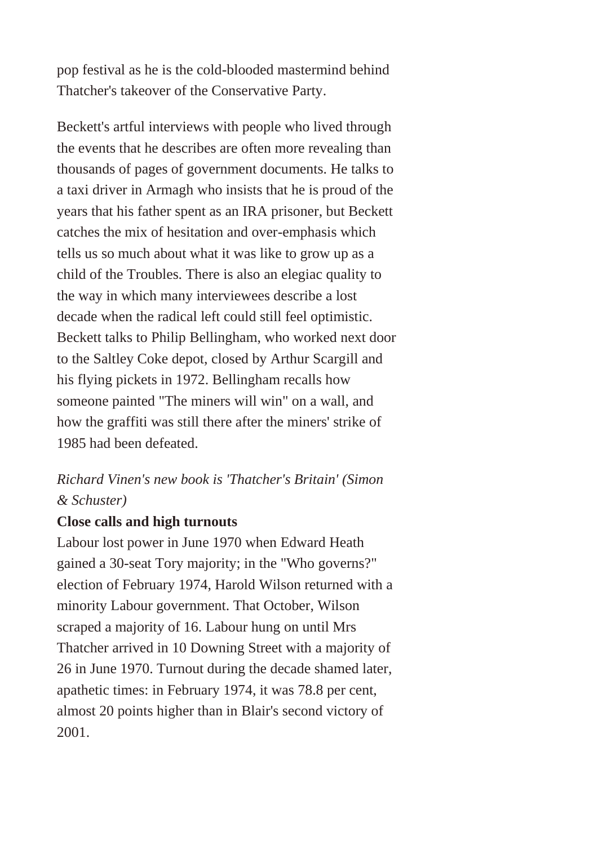pop festival as he is the cold-blooded mastermind behind Thatcher's takeover of the Conservative Party.

Beckett's artful interviews with people who lived through the events that he describes are often more revealing than thousands of pages of government documents. He talks to a taxi driver in Armagh who insists that he is proud of the years that his father spent as an IRA prisoner, but Beckett catches the mix of hesitation and over-emphasis which tells us so much about what it was like to grow up as a child of the Troubles. There is also an elegiac quality to the way in which many interviewees describe a lost decade when the radical left could still feel optimistic. Beckett talks to Philip Bellingham, who worked next door to the Saltley Coke depot, closed by Arthur Scargill and his flying pickets in 1972. Bellingham recalls how someone painted "The miners will win" on a wall, and how the graffiti was still there after the miners' strike of 1985 had been defeated.

*Richard Vinen's new book is 'Thatcher's Britain' (Simon & Schuster)*

## **Close calls and high turnouts**

Labour lost power in June 1970 when Edward Heath gained a 30-seat Tory majority; in the "Who governs?" election of February 1974, Harold Wilson returned with a minority Labour government. That October, Wilson scraped a majority of 16. Labour hung on until Mrs Thatcher arrived in 10 Downing Street with a majority of 26 in June 1970. Turnout during the decade shamed later, apathetic times: in February 1974, it was 78.8 per cent, almost 20 points higher than in Blair's second victory of 2001.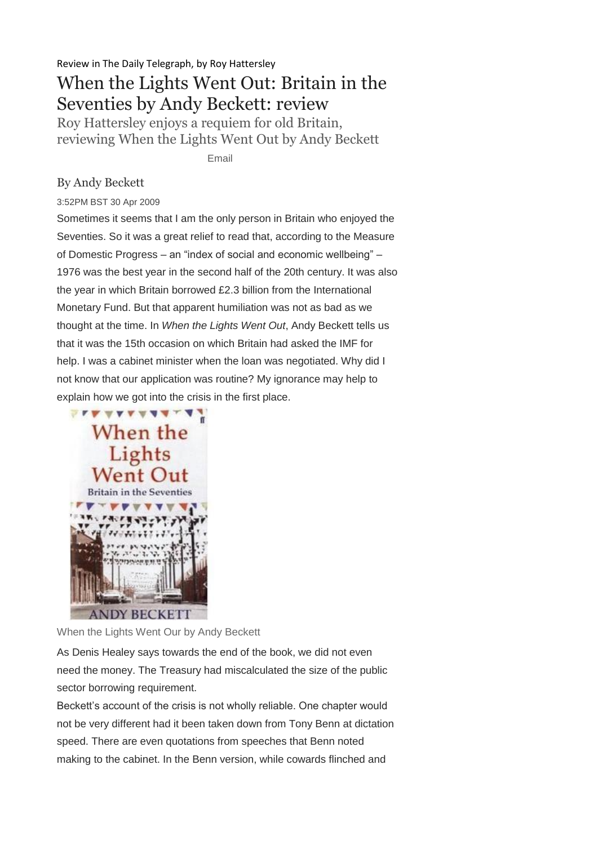Review in The Daily Telegraph, by Roy Hattersley

# When the Lights Went Out: Britain in the Seventies by Andy Beckett: review

Roy Hattersley enjoys a requiem for old Britain, reviewing When the Lights Went Out by Andy Beckett

Email

## By Andy Beckett

3:52PM BST 30 Apr 2009

Sometimes it seems that I am the only person in Britain who enjoyed the Seventies. So it was a great relief to read that, according to the Measure of Domestic Progress – an "index of social and economic wellbeing" – 1976 was the best year in the second half of the 20th century. It was also the year in which Britain borrowed £2.3 billion from the International Monetary Fund. But that apparent humiliation was not as bad as we thought at the time. In *When the Lights Went Out*, Andy Beckett tells us that it was the 15th occasion on which Britain had asked the IMF for help. I was a cabinet minister when the loan was negotiated. Why did I not know that our application was routine? My ignorance may help to explain how we got into the crisis in the first place.



When the Lights Went Our by Andy Beckett

As Denis Healey says towards the end of the book, we did not even need the money. The Treasury had miscalculated the size of the public sector borrowing requirement.

Beckett's account of the crisis is not wholly reliable. One chapter would not be very different had it been taken down from Tony Benn at dictation speed. There are even quotations from speeches that Benn noted making to the cabinet. In the Benn version, while cowards flinched and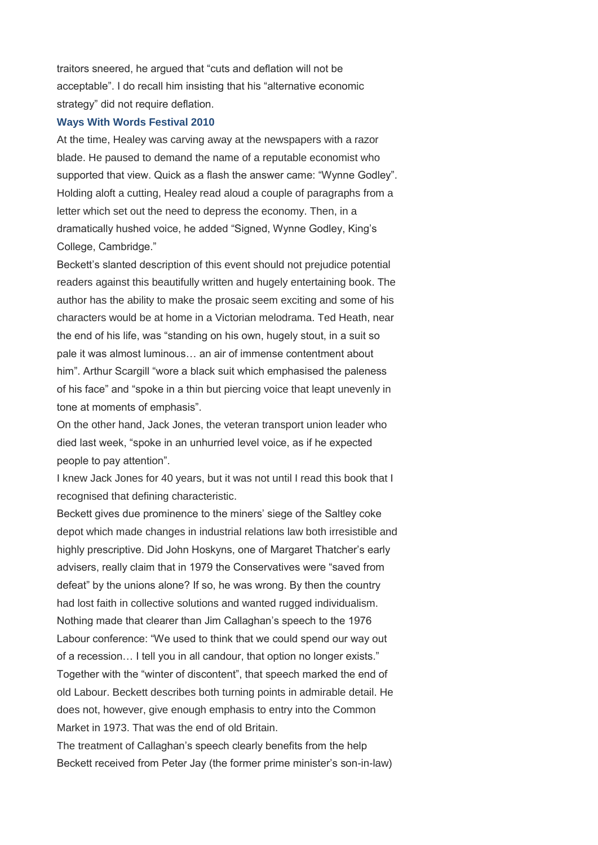traitors sneered, he argued that "cuts and deflation will not be acceptable". I do recall him insisting that his "alternative economic strategy" did not require deflation.

#### **[Ways With Words Festival 2010](http://www.telegraph.co.uk/culture/books/ways-with-words/)**

At the time, Healey was carving away at the newspapers with a razor blade. He paused to demand the name of a reputable economist who supported that view. Quick as a flash the answer came: "Wynne Godley". Holding aloft a cutting, Healey read aloud a couple of paragraphs from a letter which set out the need to depress the economy. Then, in a dramatically hushed voice, he added "Signed, Wynne Godley, King's College, Cambridge."

Beckett's slanted description of this event should not prejudice potential readers against this beautifully written and hugely entertaining book. The author has the ability to make the prosaic seem exciting and some of his characters would be at home in a Victorian melodrama. Ted Heath, near the end of his life, was "standing on his own, hugely stout, in a suit so pale it was almost luminous… an air of immense contentment about him". Arthur Scargill "wore a black suit which emphasised the paleness of his face" and "spoke in a thin but piercing voice that leapt unevenly in tone at moments of emphasis".

On the other hand, Jack Jones, the veteran transport union leader who died last week, "spoke in an unhurried level voice, as if he expected people to pay attention".

I knew Jack Jones for 40 years, but it was not until I read this book that I recognised that defining characteristic.

Beckett gives due prominence to the miners' siege of the Saltley coke depot which made changes in industrial relations law both irresistible and highly prescriptive. Did John Hoskyns, one of Margaret Thatcher's early advisers, really claim that in 1979 the Conservatives were "saved from defeat" by the unions alone? If so, he was wrong. By then the country had lost faith in collective solutions and wanted rugged individualism. Nothing made that clearer than Jim Callaghan's speech to the 1976 Labour conference: "We used to think that we could spend our way out of a recession… I tell you in all candour, that option no longer exists." Together with the "winter of discontent", that speech marked the end of old Labour. Beckett describes both turning points in admirable detail. He does not, however, give enough emphasis to entry into the Common Market in 1973. That was the end of old Britain.

The treatment of Callaghan's speech clearly benefits from the help Beckett received from Peter Jay (the former prime minister's son-in-law)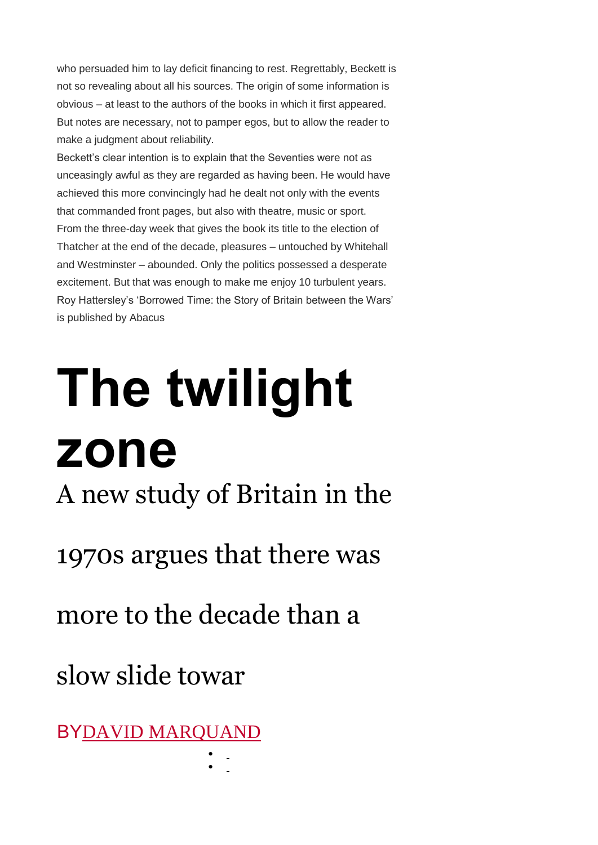who persuaded him to lay deficit financing to rest. Regrettably, Beckett is not so revealing about all his sources. The origin of some information is obvious – at least to the authors of the books in which it first appeared. But notes are necessary, not to pamper egos, but to allow the reader to make a judgment about reliability.

Beckett's clear intention is to explain that the Seventies were not as unceasingly awful as they are regarded as having been. He would have achieved this more convincingly had he dealt not only with the events that commanded front pages, but also with theatre, music or sport. From the three-day week that gives the book its title to the election of Thatcher at the end of the decade, pleasures – untouched by Whitehall and Westminster – abounded. Only the politics possessed a desperate excitement. But that was enough to make me enjoy 10 turbulent years. Roy Hattersley's 'Borrowed Time: the Story of Britain between the Wars' is published by Abacus

# **The twilight zone** A new study of Britain in the 1970s argues that there was

more to the decade than a

 $\bullet$  $\bullet$ 

slow slide towar

BYDAVID [MARQUAND](http://www.newstatesman.com/writers/313187)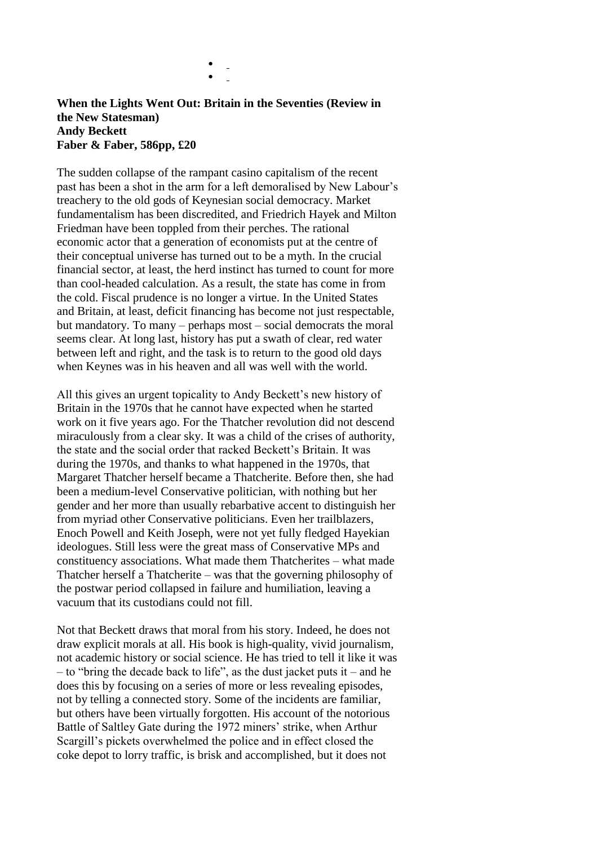### **When the Lights Went Out: Britain in the Seventies (Review in the New Statesman) Andy Beckett Faber & Faber, 586pp, £20**

 $\bullet$  $\bullet$ 

The sudden collapse of the rampant casino capitalism of the recent past has been a shot in the arm for a left demoralised by New Labour's treachery to the old gods of Keynesian social democracy. Market fundamentalism has been discredited, and Friedrich Hayek and Milton Friedman have been toppled from their perches. The rational economic actor that a generation of economists put at the centre of their conceptual universe has turned out to be a myth. In the crucial financial sector, at least, the herd instinct has turned to count for more than cool-headed calculation. As a result, the state has come in from the cold. Fiscal prudence is no longer a virtue. In the United States and Britain, at least, deficit financing has become not just respectable, but mandatory. To many – perhaps most – social democrats the moral seems clear. At long last, history has put a swath of clear, red water between left and right, and the task is to return to the good old days when Keynes was in his heaven and all was well with the world.

All this gives an urgent topicality to Andy Beckett's new history of Britain in the 1970s that he cannot have expected when he started work on it five years ago. For the Thatcher revolution did not descend miraculously from a clear sky. It was a child of the crises of authority, the state and the social order that racked Beckett's Britain. It was during the 1970s, and thanks to what happened in the 1970s, that Margaret Thatcher herself became a Thatcherite. Before then, she had been a medium-level Conservative politician, with nothing but her gender and her more than usually rebarbative accent to distinguish her from myriad other Conservative politicians. Even her trailblazers, Enoch Powell and Keith Joseph, were not yet fully fledged Hayekian ideologues. Still less were the great mass of Conservative MPs and constituency associations. What made them Thatcherites – what made Thatcher herself a Thatcherite – was that the governing philosophy of the postwar period collapsed in failure and humiliation, leaving a vacuum that its custodians could not fill.

Not that Beckett draws that moral from his story. Indeed, he does not draw explicit morals at all. His book is high-quality, vivid journalism, not academic history or social science. He has tried to tell it like it was – to "bring the decade back to life", as the dust jacket puts it – and he does this by focusing on a series of more or less revealing episodes, not by telling a connected story. Some of the incidents are familiar, but others have been virtually forgotten. His account of the notorious Battle of Saltley Gate during the 1972 miners' strike, when Arthur Scargill's pickets overwhelmed the police and in effect closed the coke depot to lorry traffic, is brisk and accomplished, but it does not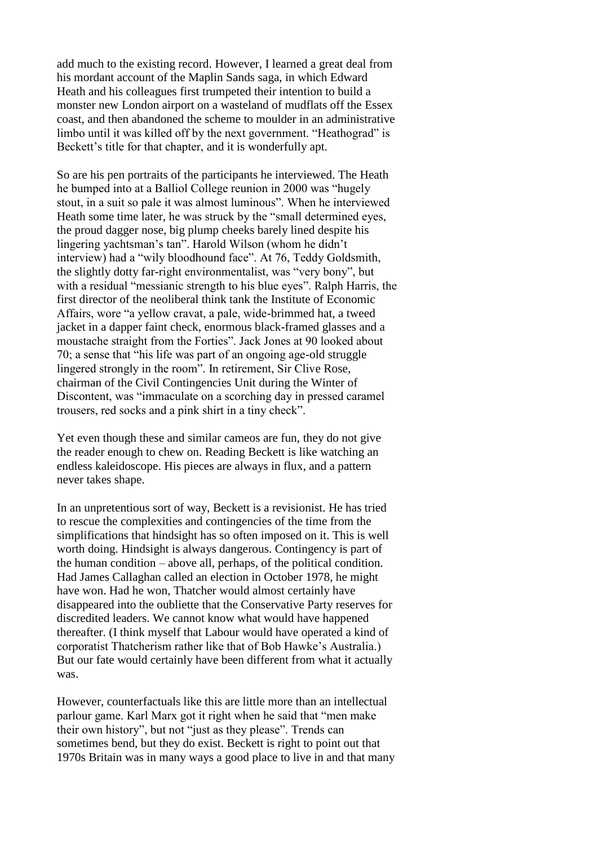add much to the existing record. However, I learned a great deal from his mordant account of the Maplin Sands saga, in which Edward Heath and his colleagues first trumpeted their intention to build a monster new London airport on a wasteland of mudflats off the Essex coast, and then abandoned the scheme to moulder in an administrative limbo until it was killed off by the next government. "Heathograd" is Beckett's title for that chapter, and it is wonderfully apt.

So are his pen portraits of the participants he interviewed. The Heath he bumped into at a Balliol College reunion in 2000 was "hugely stout, in a suit so pale it was almost luminous". When he interviewed Heath some time later, he was struck by the "small determined eyes, the proud dagger nose, big plump cheeks barely lined despite his lingering yachtsman's tan". Harold Wilson (whom he didn't interview) had a "wily bloodhound face". At 76, Teddy Goldsmith, the slightly dotty far-right environmentalist, was "very bony", but with a residual "messianic strength to his blue eyes". Ralph Harris, the first director of the neoliberal think tank the Institute of Economic Affairs, wore "a yellow cravat, a pale, wide-brimmed hat, a tweed jacket in a dapper faint check, enormous black-framed glasses and a moustache straight from the Forties". Jack Jones at 90 looked about 70; a sense that "his life was part of an ongoing age-old struggle lingered strongly in the room". In retirement, Sir Clive Rose, chairman of the Civil Contingencies Unit during the Winter of Discontent, was "immaculate on a scorching day in pressed caramel trousers, red socks and a pink shirt in a tiny check".

Yet even though these and similar cameos are fun, they do not give the reader enough to chew on. Reading Beckett is like watching an endless kaleidoscope. His pieces are always in flux, and a pattern never takes shape.

In an unpretentious sort of way, Beckett is a revisionist. He has tried to rescue the complexities and contingencies of the time from the simplifications that hindsight has so often imposed on it. This is well worth doing. Hindsight is always dangerous. Contingency is part of the human condition – above all, perhaps, of the political condition. Had James Callaghan called an election in October 1978, he might have won. Had he won, Thatcher would almost certainly have disappeared into the oubliette that the Conservative Party reserves for discredited leaders. We cannot know what would have happened thereafter. (I think myself that Labour would have operated a kind of corporatist Thatcherism rather like that of Bob Hawke's Australia.) But our fate would certainly have been different from what it actually was.

However, counterfactuals like this are little more than an intellectual parlour game. Karl Marx got it right when he said that "men make their own history", but not "just as they please". Trends can sometimes bend, but they do exist. Beckett is right to point out that 1970s Britain was in many ways a good place to live in and that many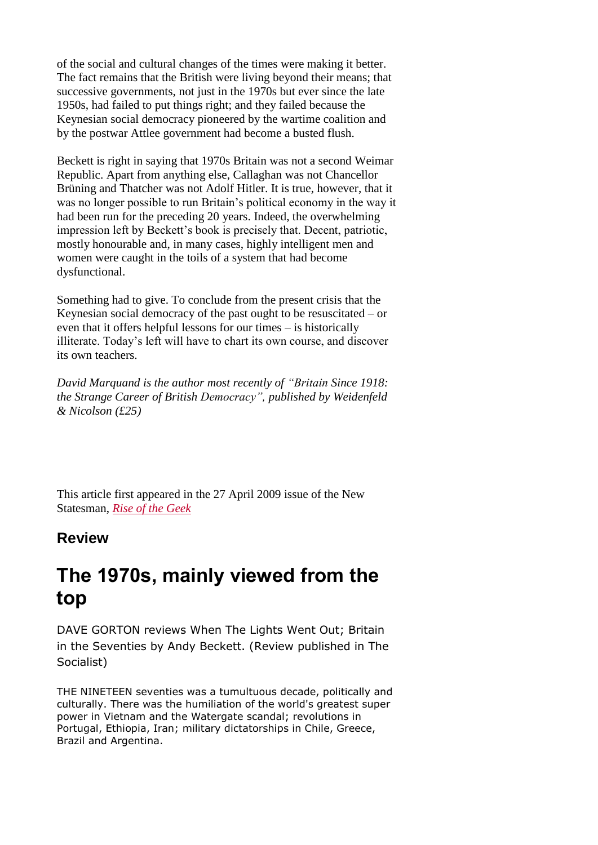of the social and cultural changes of the times were making it better. The fact remains that the British were living beyond their means; that successive governments, not just in the 1970s but ever since the late 1950s, had failed to put things right; and they failed because the Keynesian social democracy pioneered by the wartime coalition and by the postwar Attlee government had become a busted flush.

Beckett is right in saying that 1970s Britain was not a second Weimar Republic. Apart from anything else, Callaghan was not Chancellor Brüning and Thatcher was not Adolf Hitler. It is true, however, that it was no longer possible to run Britain's political economy in the way it had been run for the preceding 20 years. Indeed, the overwhelming impression left by Beckett's book is precisely that. Decent, patriotic, mostly honourable and, in many cases, highly intelligent men and women were caught in the toils of a system that had become dysfunctional.

Something had to give. To conclude from the present crisis that the Keynesian social democracy of the past ought to be resuscitated – or even that it offers helpful lessons for our times – is historically illiterate. Today's left will have to chart its own course, and discover its own teachers.

*David Marquand is the author most recently of "Britain Since 1918: the Strange Career of British Democracy", published by Weidenfeld & Nicolson (£25)*

This article first appeared in the 27 April 2009 issue of the New Statesman, *Rise of the [Geek](http://www.newstatesman.com/node/147789)*

# **Review**

# **The 1970s, mainly viewed from the top**

DAVE GORTON reviews When The Lights Went Out; Britain in the Seventies by Andy Beckett. (Review published in The Socialist)

THE NINETEEN seventies was a tumultuous decade, politically and culturally. There was the humiliation of the world's greatest super power in Vietnam and the Watergate scandal; revolutions in Portugal, Ethiopia, Iran; military dictatorships in Chile, Greece, Brazil and Argentina.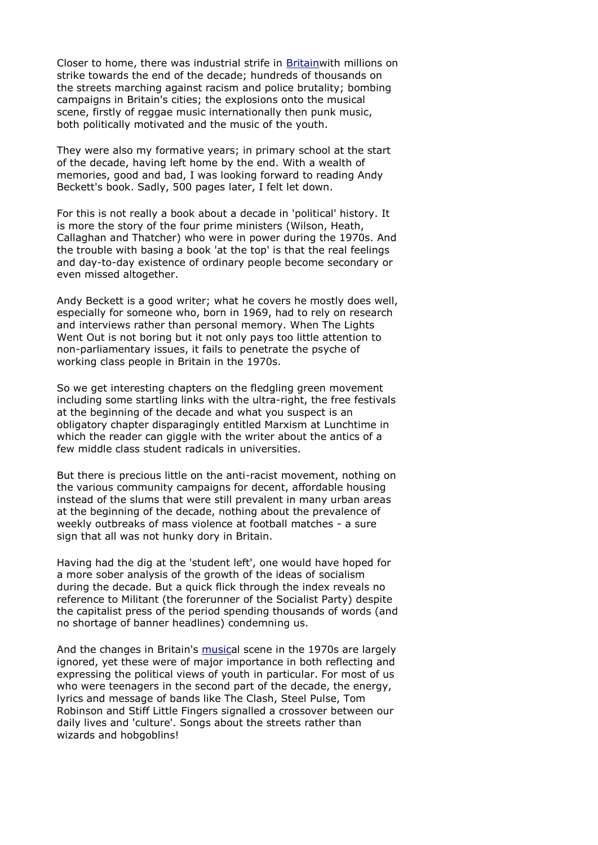Closer to home, there was industrial strife in [Britainw](http://www.socialistparty.org.uk/keyword/Britain)ith millions on strike towards the end of the decade; hundreds of thousands on the streets marching against racism and police brutality; bombing campaigns in Britain's cities; the explosions onto the musical scene, firstly of reggae music internationally then punk music, both politically motivated and the music of the youth.

They were also my formative years; in primary school at the start of the decade, having left home by the end. With a wealth of memories, good and bad, I was looking forward to reading Andy Beckett's book. Sadly, 500 pages later, I felt let down.

For this is not really a book about a decade in 'political' history. It is more the story of the four prime ministers (Wilson, Heath, Callaghan and Thatcher) who were in power during the 1970s. And the trouble with basing a book 'at the top' is that the real feelings and day-to-day existence of ordinary people become secondary or even missed altogether.

Andy Beckett is a good writer; what he covers he mostly does well, especially for someone who, born in 1969, had to rely on research and interviews rather than personal memory. When The Lights Went Out is not boring but it not only pays too little attention to non-parliamentary issues, it fails to penetrate the psyche of working class people in Britain in the 1970s.

So we get interesting chapters on the fledgling green movement including some startling links with the ultra-right, the free festivals at the beginning of the decade and what you suspect is an obligatory chapter disparagingly entitled Marxism at Lunchtime in which the reader can giggle with the writer about the antics of a few middle class student radicals in universities.

But there is precious little on the anti-racist movement, nothing on the various community campaigns for decent, affordable housing instead of the slums that were still prevalent in many urban areas at the beginning of the decade, nothing about the prevalence of weekly outbreaks of mass violence at football matches - a sure sign that all was not hunky dory in Britain.

Having had the dig at the 'student left', one would have hoped for a more sober analysis of the growth of the ideas of socialism during the decade. But a quick flick through the index reveals no reference to Militant (the forerunner of the Socialist Party) despite the capitalist press of the period spending thousands of words (and no shortage of banner headlines) condemning us.

And the changes in Britain's [musica](http://www.socialistparty.org.uk/keyword/Music)l scene in the 1970s are largely ignored, yet these were of major importance in both reflecting and expressing the political views of youth in particular. For most of us who were teenagers in the second part of the decade, the energy, lyrics and message of bands like The Clash, Steel Pulse, Tom Robinson and Stiff Little Fingers signalled a crossover between our daily lives and 'culture'. Songs about the streets rather than wizards and hobgoblins!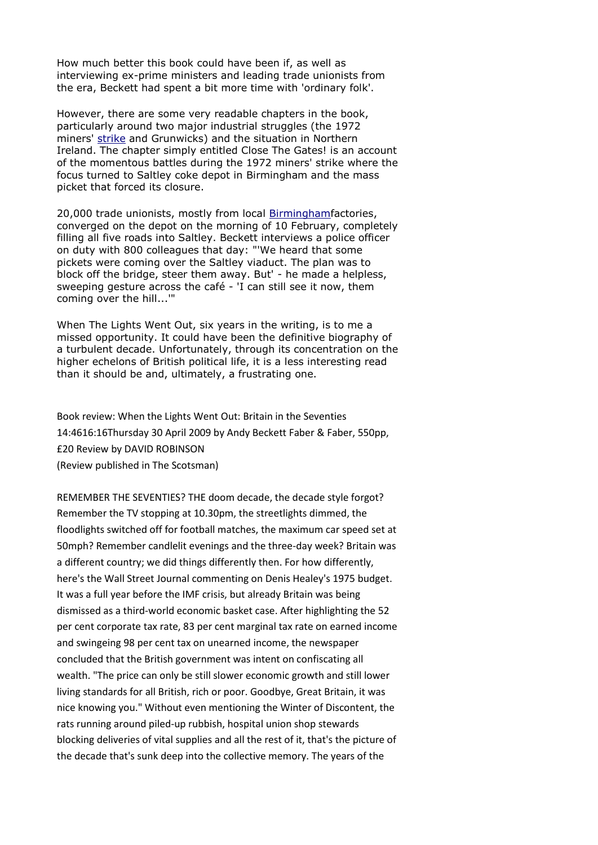How much better this book could have been if, as well as interviewing ex-prime ministers and leading trade unionists from the era, Beckett had spent a bit more time with 'ordinary folk'.

However, there are some very readable chapters in the book, particularly around two major industrial struggles (the 1972 miners' [strike](http://www.socialistparty.org.uk/keyword/Strike) and Grunwicks) and the situation in Northern Ireland. The chapter simply entitled Close The Gates! is an account of the momentous battles during the 1972 miners' strike where the focus turned to Saltley coke depot in Birmingham and the mass picket that forced its closure.

20,000 trade unionists, mostly from local **[Birminghamf](http://www.socialistparty.org.uk/keyword/Birmingham)actories**, converged on the depot on the morning of 10 February, completely filling all five roads into Saltley. Beckett interviews a police officer on duty with 800 colleagues that day: "'We heard that some pickets were coming over the Saltley viaduct. The plan was to block off the bridge, steer them away. But' - he made a helpless, sweeping gesture across the café - 'I can still see it now, them coming over the hill...'"

When The Lights Went Out, six years in the writing, is to me a missed opportunity. It could have been the definitive biography of a turbulent decade. Unfortunately, through its concentration on the higher echelons of British political life, it is a less interesting read than it should be and, ultimately, a frustrating one.

Book review: When the Lights Went Out: Britain in the Seventies 14:4616:16Thursday 30 April 2009 by Andy Beckett Faber & Faber, 550pp, £20 Review by DAVID ROBINSON (Review published in The Scotsman)

REMEMBER THE SEVENTIES? THE doom decade, the decade style forgot? Remember the TV stopping at 10.30pm, the streetlights dimmed, the floodlights switched off for football matches, the maximum car speed set at 50mph? Remember candlelit evenings and the three-day week? Britain was a different country; we did things differently then. For how differently, here's the Wall Street Journal commenting on Denis Healey's 1975 budget. It was a full year before the IMF crisis, but already Britain was being dismissed as a third-world economic basket case. After highlighting the 52 per cent corporate tax rate, 83 per cent marginal tax rate on earned income and swingeing 98 per cent tax on unearned income, the newspaper concluded that the British government was intent on confiscating all wealth. "The price can only be still slower economic growth and still lower living standards for all British, rich or poor. Goodbye, Great Britain, it was nice knowing you." Without even mentioning the Winter of Discontent, the rats running around piled-up rubbish, hospital union shop stewards blocking deliveries of vital supplies and all the rest of it, that's the picture of the decade that's sunk deep into the collective memory. The years of the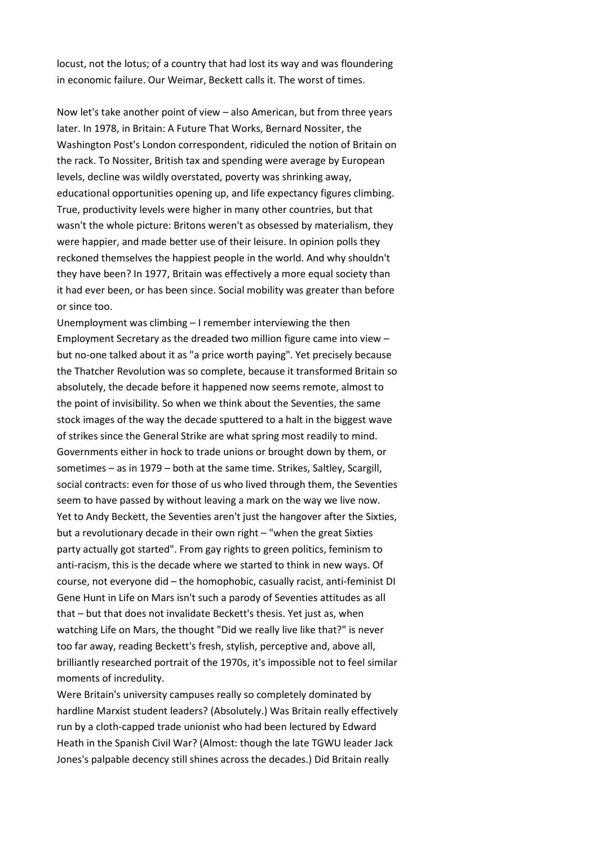locust, not the lotus; of a country that had lost its way and was floundering in economic failure. Our Weimar, Beckett calls it. The worst of times.

Now let's take another point of view – also American, but from three years later. In 1978, in Britain: A Future That Works, Bernard Nossiter, the Washington Post's London correspondent, ridiculed the notion of Britain on the rack. To Nossiter, British tax and spending were average by European levels, decline was wildly overstated, poverty was shrinking away, educational opportunities opening up, and life expectancy figures climbing. True, productivity levels were higher in many other countries, but that wasn't the whole picture: Britons weren't as obsessed by materialism, they were happier, and made better use of their leisure. In opinion polls they reckoned themselves the happiest people in the world. And why shouldn't they have been? In 1977, Britain was effectively a more equal society than it had ever been, or has been since. Social mobility was greater than before or since too.

Unemployment was climbing – I remember interviewing the then Employment Secretary as the dreaded two million figure came into view – but no-one talked about it as "a price worth paying". Yet precisely because the Thatcher Revolution was so complete, because it transformed Britain so absolutely, the decade before it happened now seems remote, almost to the point of invisibility. So when we think about the Seventies, the same stock images of the way the decade sputtered to a halt in the biggest wave of strikes since the General Strike are what spring most readily to mind. Governments either in hock to trade unions or brought down by them, or sometimes – as in 1979 – both at the same time. Strikes, Saltley, Scargill, social contracts: even for those of us who lived through them, the Seventies seem to have passed by without leaving a mark on the way we live now. Yet to Andy Beckett, the Seventies aren't just the hangover after the Sixties, but a revolutionary decade in their own right – "when the great Sixties party actually got started". From gay rights to green politics, feminism to anti-racism, this is the decade where we started to think in new ways. Of course, not everyone did – the homophobic, casually racist, anti-feminist DI Gene Hunt in Life on Mars isn't such a parody of Seventies attitudes as all that – but that does not invalidate Beckett's thesis. Yet just as, when watching Life on Mars, the thought "Did we really live like that?" is never too far away, reading Beckett's fresh, stylish, perceptive and, above all, brilliantly researched portrait of the 1970s, it's impossible not to feel similar moments of incredulity.

Were Britain's university campuses really so completely dominated by hardline Marxist student leaders? (Absolutely.) Was Britain really effectively run by a cloth-capped trade unionist who had been lectured by Edward Heath in the Spanish Civil War? (Almost: though the late TGWU leader Jack Jones's palpable decency still shines across the decades.) Did Britain really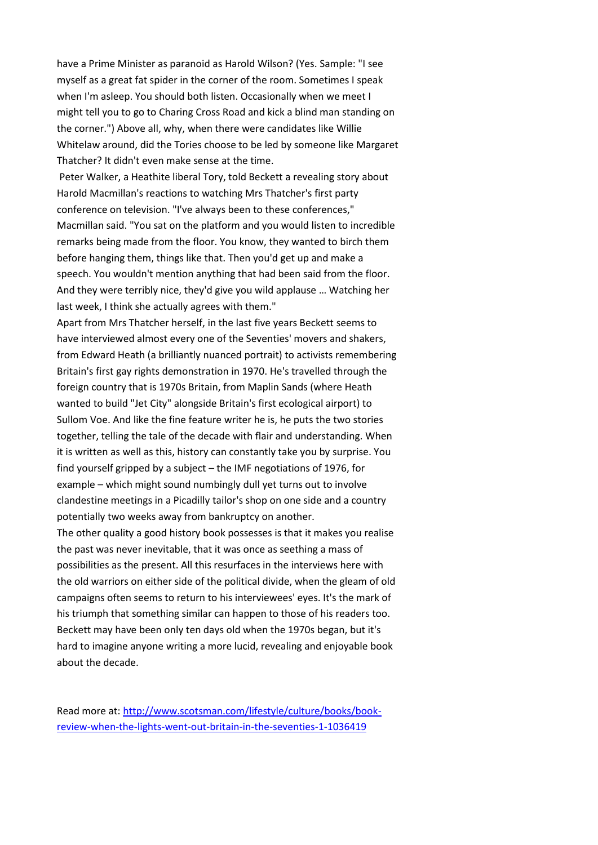have a Prime Minister as paranoid as Harold Wilson? (Yes. Sample: "I see myself as a great fat spider in the corner of the room. Sometimes I speak when I'm asleep. You should both listen. Occasionally when we meet I might tell you to go to Charing Cross Road and kick a blind man standing on the corner.") Above all, why, when there were candidates like Willie Whitelaw around, did the Tories choose to be led by someone like Margaret Thatcher? It didn't even make sense at the time.

Peter Walker, a Heathite liberal Tory, told Beckett a revealing story about Harold Macmillan's reactions to watching Mrs Thatcher's first party conference on television. "I've always been to these conferences," Macmillan said. "You sat on the platform and you would listen to incredible remarks being made from the floor. You know, they wanted to birch them before hanging them, things like that. Then you'd get up and make a speech. You wouldn't mention anything that had been said from the floor. And they were terribly nice, they'd give you wild applause … Watching her last week, I think she actually agrees with them."

Apart from Mrs Thatcher herself, in the last five years Beckett seems to have interviewed almost every one of the Seventies' movers and shakers, from Edward Heath (a brilliantly nuanced portrait) to activists remembering Britain's first gay rights demonstration in 1970. He's travelled through the foreign country that is 1970s Britain, from Maplin Sands (where Heath wanted to build "Jet City" alongside Britain's first ecological airport) to Sullom Voe. And like the fine feature writer he is, he puts the two stories together, telling the tale of the decade with flair and understanding. When it is written as well as this, history can constantly take you by surprise. You find yourself gripped by a subject – the IMF negotiations of 1976, for example – which might sound numbingly dull yet turns out to involve clandestine meetings in a Picadilly tailor's shop on one side and a country potentially two weeks away from bankruptcy on another.

The other quality a good history book possesses is that it makes you realise the past was never inevitable, that it was once as seething a mass of possibilities as the present. All this resurfaces in the interviews here with the old warriors on either side of the political divide, when the gleam of old campaigns often seems to return to his interviewees' eyes. It's the mark of his triumph that something similar can happen to those of his readers too. Beckett may have been only ten days old when the 1970s began, but it's hard to imagine anyone writing a more lucid, revealing and enjoyable book about the decade.

Read more at: [http://www.scotsman.com/lifestyle/culture/books/book](http://www.scotsman.com/lifestyle/culture/books/book-review-when-the-lights-went-out-britain-in-the-seventies-1-1036419)[review-when-the-lights-went-out-britain-in-the-seventies-1-1036419](http://www.scotsman.com/lifestyle/culture/books/book-review-when-the-lights-went-out-britain-in-the-seventies-1-1036419)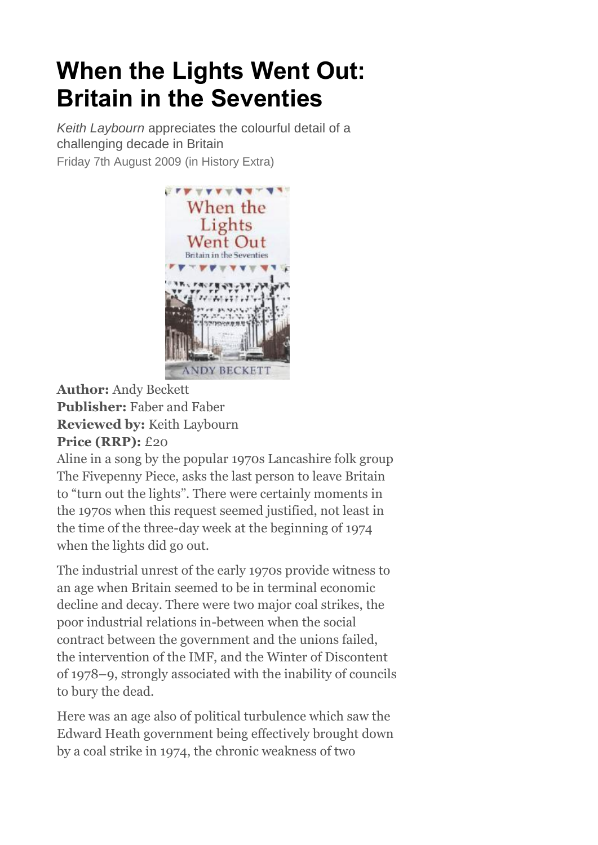# **When the Lights Went Out: Britain in the Seventies**

*Keith Laybourn* appreciates the colourful detail of a challenging decade in Britain Friday 7th August 2009 (in History Extra)



**Author:** Andy Beckett **Publisher:** Faber and Faber **Reviewed by:** Keith Laybourn **Price (RRP):** £20

Aline in a song by the popular 1970s Lancashire folk group The Fivepenny Piece, asks the last person to leave Britain to "turn out the lights". There were certainly moments in the 1970s when this request seemed justified, not least in the time of the three-day week at the beginning of 1974 when the lights did go out.

The industrial unrest of the early 1970s provide witness to an age when Britain seemed to be in terminal economic decline and decay. There were two major coal strikes, the poor industrial relations in-between when the social contract between the government and the unions failed, the intervention of the IMF, and the Winter of Discontent of 1978–9, strongly associated with the inability of councils to bury the dead.

Here was an age also of political turbulence which saw the Edward Heath government being effectively brought down by a coal strike in 1974, the chronic weakness of two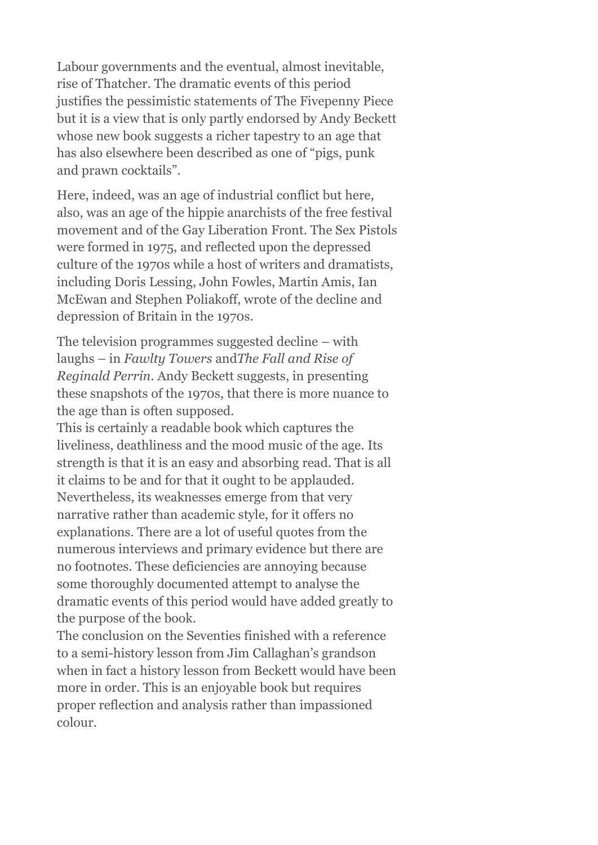Labour governments and the eventual, almost inevitable, rise of Thatcher. The dramatic events of this period justifies the pessimistic statements of The Fivepenny Piece but it is a view that is only partly endorsed by Andy Beckett whose new book suggests a richer tapestry to an age that has also elsewhere been described as one of "pigs, punk and prawn cocktails".

Here, indeed, was an age of industrial conflict but here, also, was an age of the hippie anarchists of the free festival movement and of the Gay Liberation Front. The Sex Pistols were formed in 1975, and reflected upon the depressed culture of the 1970s while a host of writers and dramatists, including Doris Lessing, John Fowles, Martin Amis, Ian McEwan and Stephen Poliakoff, wrote of the decline and depression of Britain in the 1970s.

The television programmes suggested decline – with laughs – in *Fawlty Towers* and*The Fall and Rise of Reginald Perrin*. Andy Beckett suggests, in presenting these snapshots of the 1970s, that there is more nuance to the age than is often supposed.

This is certainly a readable book which captures the liveliness, deathliness and the mood music of the age. Its strength is that it is an easy and absorbing read. That is all it claims to be and for that it ought to be applauded. Nevertheless, its weaknesses emerge from that very narrative rather than academic style, for it offers no explanations. There are a lot of useful quotes from the numerous interviews and primary evidence but there are no footnotes. These deficiencies are annoying because some thoroughly documented attempt to analyse the dramatic events of this period would have added greatly to the purpose of the book.

The conclusion on the Seventies finished with a reference to a semi-history lesson from Jim Callaghan's grandson when in fact a history lesson from Beckett would have been more in order. This is an enjoyable book but requires proper reflection and analysis rather than impassioned colour.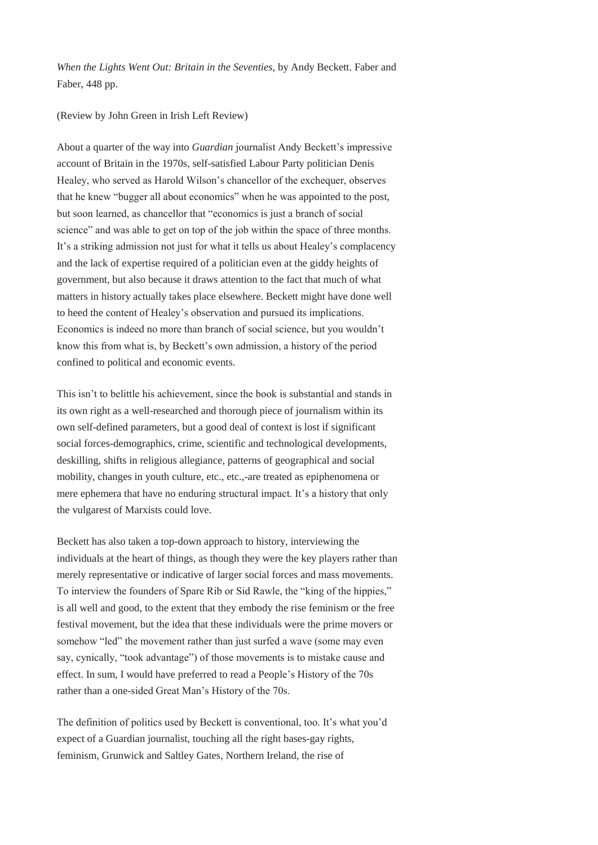*When the Lights Went Out: Britain in the Seventies,* by Andy Beckett. Faber and Faber, 448 pp.

#### (Review by John Green in Irish Left Review)

About a quarter of the way into *Guardian* journalist Andy Beckett's impressive account of Britain in the 1970s, self-satisfied Labour Party politician Denis Healey, who served as Harold Wilson's chancellor of the exchequer, observes that he knew "bugger all about economics" when he was appointed to the post, but soon learned, as chancellor that "economics is just a branch of social science" and was able to get on top of the job within the space of three months. It's a striking admission not just for what it tells us about Healey's complacency and the lack of expertise required of a politician even at the giddy heights of government, but also because it draws attention to the fact that much of what matters in history actually takes place elsewhere. Beckett might have done well to heed the content of Healey's observation and pursued its implications. Economics is indeed no more than branch of social science, but you wouldn't know this from what is, by Beckett's own admission, a history of the period confined to political and economic events.

This isn't to belittle his achievement, since the book is substantial and stands in its own right as a well-researched and thorough piece of journalism within its own self-defined parameters, but a good deal of context is lost if significant social forces-demographics, crime, scientific and technological developments, deskilling, shifts in religious allegiance, patterns of geographical and social mobility, changes in youth culture, etc., etc.,-are treated as epiphenomena or mere ephemera that have no enduring structural impact. It's a history that only the vulgarest of Marxists could love.

Beckett has also taken a top-down approach to history, interviewing the individuals at the heart of things, as though they were the key players rather than merely representative or indicative of larger social forces and mass movements. To interview the founders of Spare Rib or Sid Rawle, the "king of the hippies," is all well and good, to the extent that they embody the rise feminism or the free festival movement, but the idea that these individuals were the prime movers or somehow "led" the movement rather than just surfed a wave (some may even say, cynically, "took advantage") of those movements is to mistake cause and effect. In sum, I would have preferred to read a People's History of the 70s rather than a one-sided Great Man's History of the 70s.

The definition of politics used by Beckett is conventional, too. It's what you'd expect of a Guardian journalist, touching all the right bases-gay rights, feminism, Grunwick and Saltley Gates, Northern Ireland, the rise of